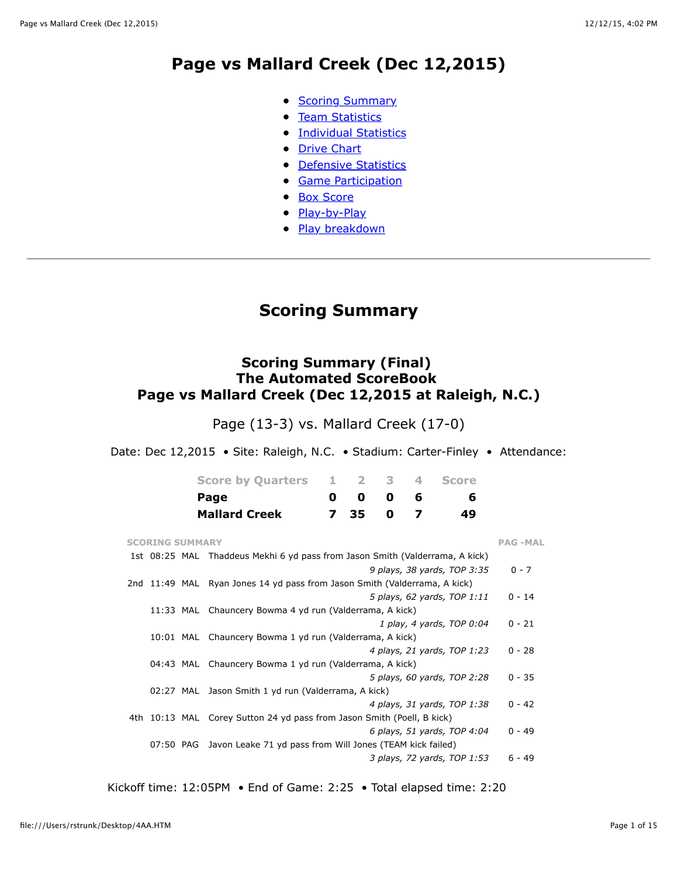## **Page vs Mallard Creek (Dec 12,2015)**

- [Scoring Summary](file:///Users/rstrunk/Desktop/4AA.HTM#GAME.SUM)
- [Team Statistics](file:///Users/rstrunk/Desktop/4AA.HTM#GAME.TEM)
- **[Individual Statistics](file:///Users/rstrunk/Desktop/4AA.HTM#GAME.IND)**
- [Drive Chart](file:///Users/rstrunk/Desktop/4AA.HTM#GAME.DRV)
- [Defensive Statistics](file:///Users/rstrunk/Desktop/4AA.HTM#GAME.DEF)
- **[Game Participation](file:///Users/rstrunk/Desktop/4AA.HTM#GAME.PRE)**
- [Box Score](file:///Users/rstrunk/Desktop/4AA.HTM#GAME.NEW)
- [Play-by-Play](file:///Users/rstrunk/Desktop/4AA.HTM#GAME.PLY)
- [Play breakdown](file:///Users/rstrunk/Desktop/4AA.HTM#GAME.SCO)

## **Scoring Summary**

## **Scoring Summary (Final) The Automated ScoreBook Page vs Mallard Creek (Dec 12,2015 at Raleigh, N.C.)**

Page (13-3) vs. Mallard Creek (17-0)

Date: Dec 12,2015 • Site: Raleigh, N.C. • Stadium: Carter-Finley • Attendance:

| <b>Score by Quarters</b> | 23                |  | 4 Score |
|--------------------------|-------------------|--|---------|
| Page                     | $0\quad 0\quad 0$ |  |         |
| <b>Mallard Creek</b>     | 7 35 0            |  | 49      |

| <b>SCORING SUMMARY</b>                                                    |                                                                              | <b>PAG-MAL</b> |
|---------------------------------------------------------------------------|------------------------------------------------------------------------------|----------------|
|                                                                           | 1st 08:25 MAL Thaddeus Mekhi 6 yd pass from Jason Smith (Valderrama, A kick) |                |
|                                                                           | 9 plays, 38 yards, TOP 3:35                                                  | $0 - 7$        |
| 2nd 11:49 MAL Ryan Jones 14 yd pass from Jason Smith (Valderrama, A kick) |                                                                              |                |
|                                                                           | 5 plays, 62 yards, TOP 1:11                                                  | $0 - 14$       |
| 11:33 MAL                                                                 | Chauncery Bowma 4 yd run (Valderrama, A kick)                                |                |
|                                                                           | 1 play, 4 yards, TOP 0:04                                                    | $0 - 21$       |
| 10:01 MAL Chauncery Bowma 1 yd run (Valderrama, A kick)                   |                                                                              |                |
|                                                                           | 4 plays, 21 yards, TOP 1:23                                                  | $0 - 28$       |
| 04:43 MAL                                                                 | Chauncery Bowma 1 yd run (Valderrama, A kick)                                |                |
|                                                                           | 5 plays, 60 yards, TOP 2:28                                                  | $0 - 35$       |
| 02:27 MAL<br>Jason Smith 1 yd run (Valderrama, A kick)                    |                                                                              |                |
|                                                                           | 4 plays, 31 yards, TOP 1:38                                                  | $0 - 42$       |
| 4th 10:13 MAL Corey Sutton 24 yd pass from Jason Smith (Poell, B kick)    |                                                                              |                |
|                                                                           | 6 plays, 51 yards, TOP 4:04                                                  | $0 - 49$       |
|                                                                           | 07:50 PAG Javon Leake 71 yd pass from Will Jones (TEAM kick failed)          |                |
|                                                                           | 3 plays, 72 yards, TOP 1:53                                                  | $6 - 49$       |

Kickoff time: 12:05PM • End of Game: 2:25 • Total elapsed time: 2:20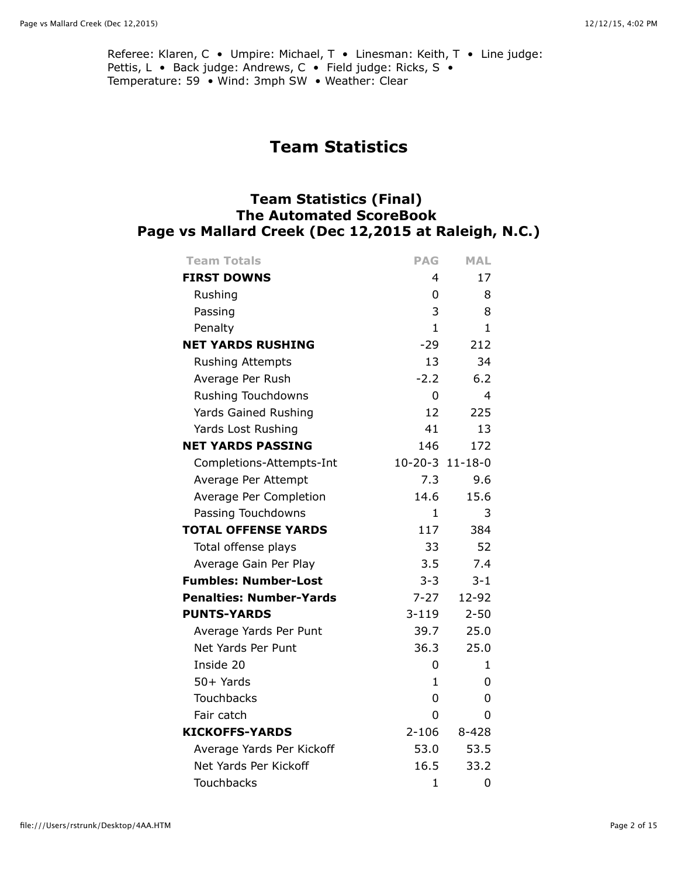Referee: Klaren, C · Umpire: Michael, T · Linesman: Keith, T · Line judge: Pettis, L · Back judge: Andrews, C · Field judge: Ricks, S · Temperature: 59 • Wind: 3mph SW • Weather: Clear

# **Team Statistics**

## **Team Statistics (Final) The Automated ScoreBook Page vs Mallard Creek (Dec 12,2015 at Raleigh, N.C.)**

| <b>Team Totals</b>             | <b>PAG</b>      | <b>MAL</b>     |
|--------------------------------|-----------------|----------------|
| <b>FIRST DOWNS</b>             | 4               | 17             |
| Rushing                        | 0               | 8              |
| Passing                        | 3               | 8              |
| Penalty                        | 1               | $\mathbf{1}$   |
| <b>NET YARDS RUSHING</b>       | $-29$           | 212            |
| <b>Rushing Attempts</b>        | 13              | 34             |
| Average Per Rush               | $-2.2$          | 6.2            |
| Rushing Touchdowns             | 0               | $\overline{4}$ |
| Yards Gained Rushing           | 12              | 225            |
| Yards Lost Rushing             | 41              | 13             |
| <b>NET YARDS PASSING</b>       | 146             | 172            |
| Completions-Attempts-Int       | 10-20-3 11-18-0 |                |
| Average Per Attempt            | 7.3             | 9.6            |
| Average Per Completion         | 14.6            | 15.6           |
| Passing Touchdowns             | 1.              | 3              |
| <b>TOTAL OFFENSE YARDS</b>     | 117             | 384            |
| Total offense plays            | 33              | 52             |
| Average Gain Per Play          | 3.5             | 7.4            |
| <b>Fumbles: Number-Lost</b>    | $3 - 3$         | $3 - 1$        |
| <b>Penalties: Number-Yards</b> | $7 - 27$        | 12-92          |
| <b>PUNTS-YARDS</b>             | $3 - 119$       | $2 - 50$       |
| Average Yards Per Punt         | 39.7            | 25.0           |
| Net Yards Per Punt             | 36.3            | 25.0           |
| Inside 20                      | 0               | 1.             |
| $50+$ Yards                    | 1               | 0              |
| Touchbacks                     | 0               | 0              |
| Fair catch                     | 0               | 0              |
| <b>KICKOFFS-YARDS</b>          | $2 - 106$       | $8 - 428$      |
| Average Yards Per Kickoff      | 53.0            | 53.5           |
| Net Yards Per Kickoff          | 16.5            | 33.2           |
| <b>Touchbacks</b>              | 1               | 0              |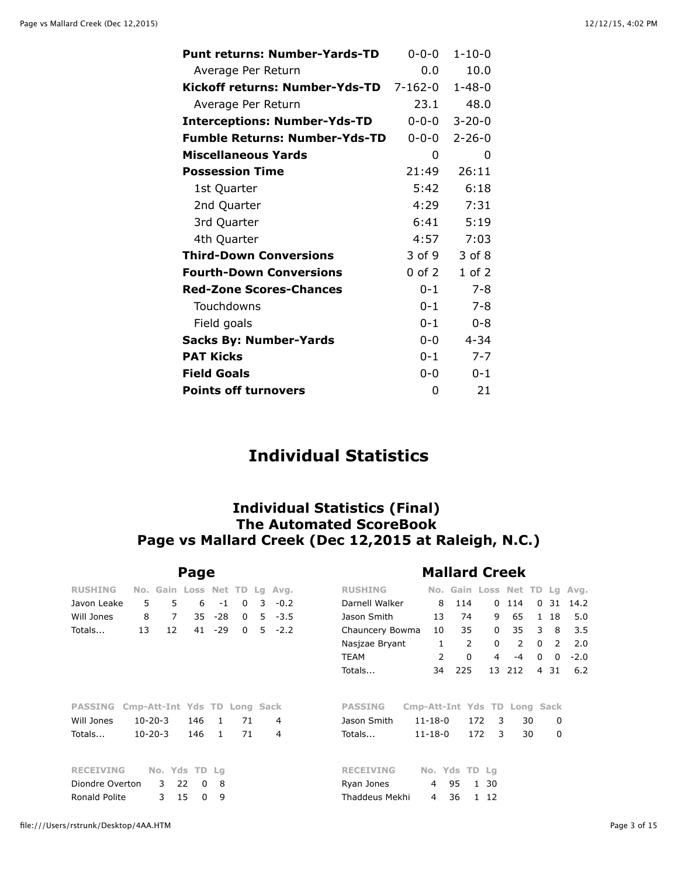| <b>Punt returns: Number-Yards-TD</b> | $0 - 0 - 0$ | $1 - 10 - 0$ |
|--------------------------------------|-------------|--------------|
|                                      | $0.0^-$     |              |
| Average Per Return                   |             | 10.0         |
| Kickoff returns: Number-Yds-TD       | 7-162-0     | $1 - 48 - 0$ |
| Average Per Return                   | 23.1        | 48.0         |
| <b>Interceptions: Number-Yds-TD</b>  | $0 - 0 - 0$ | $3 - 20 - 0$ |
| <b>Fumble Returns: Number-Yds-TD</b> | $0 - 0 - 0$ | $2 - 26 - 0$ |
| <b>Miscellaneous Yards</b>           | 0           | 0            |
| <b>Possession Time</b>               | 21:49       | 26:11        |
| 1st Quarter                          | 5:42        | 6:18         |
| 2nd Quarter                          | 4:29        | 7:31         |
| 3rd Quarter                          | 6:41        | 5:19         |
| 4th Quarter                          | 4:57        | 7:03         |
| <b>Third-Down Conversions</b>        | 3 of 9      | 3 of 8       |
| <b>Fourth-Down Conversions</b>       | 0 of 2      | $1$ of $2$   |
| <b>Red-Zone Scores-Chances</b>       | $0 - 1$     | $7 - 8$      |
| Touchdowns                           | $0 - 1$     | $7 - 8$      |
| Field goals                          | $0 - 1$     | $0 - 8$      |
| <b>Sacks By: Number-Yards</b>        | $0 - 0$     | $4 - 34$     |
| <b>PAT Kicks</b>                     | $0 - 1$     | $7 - 7$      |
| <b>Field Goals</b>                   | $0 - 0$     | $0 - 1$      |
| <b>Points off turnovers</b>          | 0           | 21           |

# **Individual Statistics**

### **Individual Statistics (Final) The Automated ScoreBook Page vs Mallard Creek (Dec 12,2015 at Raleigh, N.C.)**

|                  |                              |                              | Page           |              |          |   |           | <b>Mallard Creek</b>                                                    |  |  |  |  |  |  |  |  |  |  |
|------------------|------------------------------|------------------------------|----------------|--------------|----------|---|-----------|-------------------------------------------------------------------------|--|--|--|--|--|--|--|--|--|--|
| <b>RUSHING</b>   |                              | No. Gain Loss Net TD Lg Avg. |                |              |          |   |           | <b>RUSHING</b><br>No. Gain Loss Net TD Lg Avg.                          |  |  |  |  |  |  |  |  |  |  |
| Javon Leake      | 5                            | 5                            | 6              | $-1$         | 0        | 3 | $-0.2$    | Darnell Walker<br>8<br>114<br>$\Omega$<br>114<br>$\Omega$<br>31<br>14.2 |  |  |  |  |  |  |  |  |  |  |
| Will Jones       | 8                            | $\overline{7}$               | 35             | $-28$        | $\Omega$ |   | $5 - 3.5$ | 65<br>Jason Smith<br>5.0<br>13<br>74<br>9<br>$\mathbf{1}$<br>18         |  |  |  |  |  |  |  |  |  |  |
| Totals           | 13                           | 12                           | 41             | $-29$        | $\Omega$ |   | $5 - 2.2$ | 35<br>35<br>3<br>3.5<br>10<br>0<br>8<br>Chauncery Bowma                 |  |  |  |  |  |  |  |  |  |  |
|                  |                              |                              |                |              |          |   |           | 2<br>$\Omega$<br>2<br>$\mathbf{0}$<br>2<br>2.0<br>Nasjzae Bryant<br>1   |  |  |  |  |  |  |  |  |  |  |
|                  |                              |                              |                |              |          |   |           | 2<br>0<br>$-2.0$<br>TEAM<br>4<br>$\mathbf{0}$<br>-4<br>$\Omega$         |  |  |  |  |  |  |  |  |  |  |
|                  |                              |                              |                |              |          |   |           | 225<br>13<br>212<br>6.2<br>Totals<br>4<br>31<br>34                      |  |  |  |  |  |  |  |  |  |  |
| <b>PASSING</b>   | Cmp-Att-Int Yds TD Long Sack |                              |                |              |          |   |           | <b>PASSING</b><br>Cmp-Att-Int Yds TD<br>Long Sack                       |  |  |  |  |  |  |  |  |  |  |
| Will Jones       |                              | $10 - 20 - 3$                | 146            | $\mathbf{1}$ | 71       |   | 4         | 30<br>Jason Smith<br>$11 - 18 - 0$<br>172<br>3<br>0                     |  |  |  |  |  |  |  |  |  |  |
| Totals           |                              | $10 - 20 - 3$                | 146            | $\mathbf{1}$ | 71       |   | 4         | 30<br>0<br>172<br>3<br>Totals<br>$11 - 18 - 0$                          |  |  |  |  |  |  |  |  |  |  |
| <b>RECEIVING</b> |                              | No. Yds TD Lg                |                |              |          |   |           | No. Yds TD Lg<br><b>RECEIVING</b>                                       |  |  |  |  |  |  |  |  |  |  |
| Diondre Overton  |                              | 3                            | 22<br>$\Omega$ | 8            |          |   |           | 95<br>Ryan Jones<br>1 30<br>4                                           |  |  |  |  |  |  |  |  |  |  |
| Ronald Polite    |                              | 3                            | 15<br>0        | 9            |          |   |           | Thaddeus Mekhi<br>36<br>1 12<br>4                                       |  |  |  |  |  |  |  |  |  |  |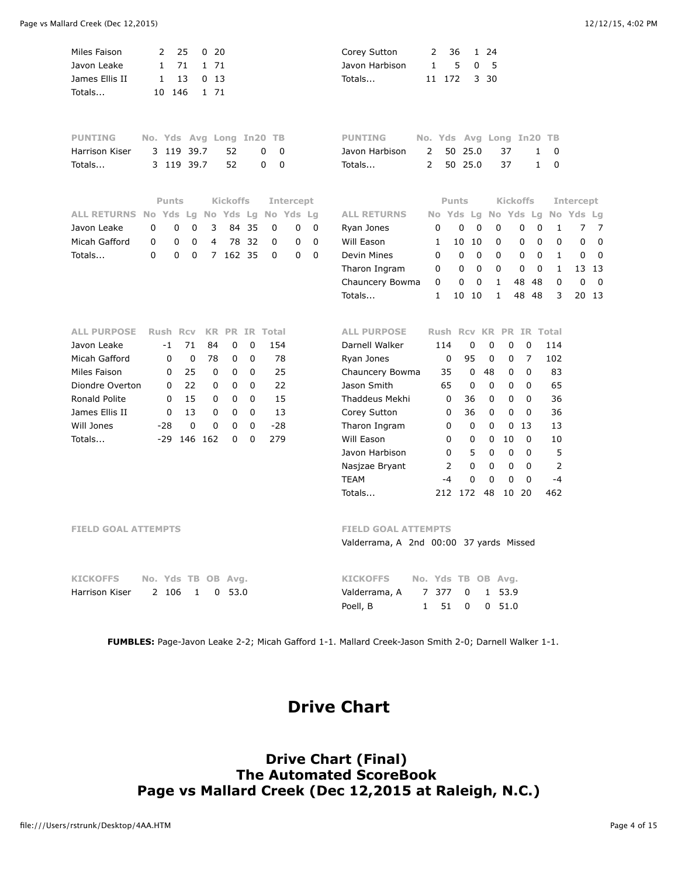| Miles Faison<br>Javon Leake<br>James Ellis II<br>Totals | 2<br>1<br>1<br>10        | 25<br>71<br>13<br>146   | 020<br>1 71<br>0, 13<br>1 71 |                 |             |                       |                  |          | Corey Sutton<br>Javon Harbison<br>Totals | 2<br>1<br>11       | 36<br>5<br>172             | 1 24<br>0<br>5<br>3<br>30 |                 |                  |              |             |             |
|---------------------------------------------------------|--------------------------|-------------------------|------------------------------|-----------------|-------------|-----------------------|------------------|----------|------------------------------------------|--------------------|----------------------------|---------------------------|-----------------|------------------|--------------|-------------|-------------|
| <b>PUNTING</b>                                          | No. Yds Avg Long In20 TB |                         |                              |                 |             |                       |                  |          | <b>PUNTING</b>                           |                    | No. Yds Avg Long In20 TB   |                           |                 |                  |              |             |             |
| Harrison Kiser                                          | 3 1 1 9                  |                         | 39.7                         | 52              |             | $\mathbf 0$<br>0      |                  |          | Javon Harbison                           | 2                  | 25.0<br>50                 |                           | 37              | 1                | 0            |             |             |
| Totals                                                  |                          | 3 119 39.7              |                              | 52              |             | 0<br>$\mathbf 0$      |                  |          | Totals                                   | 2                  | 50 25.0                    |                           | 37              | $\mathbf{1}$     | 0            |             |             |
|                                                         | <b>Punts</b>             |                         |                              | <b>Kickoffs</b> |             |                       | <b>Intercept</b> |          |                                          |                    | <b>Punts</b>               |                           | <b>Kickoffs</b> |                  |              | Intercept   |             |
| <b>ALL RETURNS No Yds</b>                               |                          |                         | Lg No Yds Lg                 |                 |             | No Yds Lg             |                  |          | <b>ALL RETURNS</b>                       |                    | No Yds Lg No Yds           |                           |                 | Lg               |              | No Yds      | - Lg        |
| Javon Leake                                             | $\Omega$                 | $\mathbf 0$<br>0        | 3                            |                 | 84 35       | $\Omega$              | 0                | 0        | Ryan Jones                               | 0                  | $\mathbf 0$                | $\mathbf 0$               | 0               | 0<br>$\mathbf 0$ | 1            | 7           | 7           |
| Micah Gafford                                           | 0                        | $\mathbf 0$<br>0        | 4                            | 78              | 32          | 0                     | 0                | 0        | Will Eason                               | 1                  | 10                         | 10                        | 0               | 0<br>$\mathbf 0$ | 0            | 0           | $\mathbf 0$ |
| Totals                                                  | $\Omega$                 | $\Omega$<br>$\mathbf 0$ |                              | 7 162 35        |             | 0                     | 0                | $\Omega$ | Devin Mines                              | $\Omega$           | 0                          | $\Omega$                  | $\Omega$        | $\mathbf 0$<br>0 | $\mathbf{1}$ | 0           | $\mathbf 0$ |
|                                                         |                          |                         |                              |                 |             |                       |                  |          | Tharon Ingram                            | 0                  | $\mathbf 0$                | $\mathbf 0$               | 0               | 0<br>0           | $\mathbf{1}$ |             | 13 13       |
|                                                         |                          |                         |                              |                 |             |                       |                  |          | Chauncery Bowma                          | 0                  | 0                          | 0                         | 1<br>48         | 48               | 0            | $\mathbf 0$ | 0           |
|                                                         |                          |                         |                              |                 |             |                       |                  |          | Totals                                   | $\mathbf{1}$       | 10 10                      |                           | 1               | 48<br>48         | 3            |             | 20 13       |
|                                                         |                          |                         |                              |                 |             |                       |                  |          |                                          |                    |                            |                           |                 |                  |              |             |             |
| <b>ALL PURPOSE</b>                                      | <b>Rush Rcv</b>          |                         |                              |                 |             | <b>KR PR IR Total</b> |                  |          | <b>ALL PURPOSE</b>                       |                    | Rush Rcy KR PR IR Total    |                           |                 |                  |              |             |             |
| Javon Leake                                             | $-1$                     | 71                      | 84                           | 0               | 0           | 154                   |                  |          | Darnell Walker                           | 114                | 0                          | 0                         | 0               | 0                | 114          |             |             |
| Micah Gafford                                           | 0                        | 0                       | 78                           | 0               | 0           | 78                    |                  |          | Ryan Jones                               |                    | 95<br>0                    | 0                         | 0               | $\overline{7}$   | 102          |             |             |
| Miles Faison                                            | 0                        | 25                      | 0                            | 0               | 0           | 25                    |                  |          | Chauncery Bowma                          |                    | 35<br>0                    | 48                        | 0               | 0                | 83           |             |             |
| Diondre Overton                                         | 0                        | 22                      | 0                            | $\mathbf 0$     | $\mathbf 0$ | 22                    |                  |          | Jason Smith                              |                    | 65<br>0                    | 0                         | 0               | 0                | 65           |             |             |
| Ronald Polite                                           | 0                        | 15                      | 0                            | $\mathbf 0$     | $\mathbf 0$ | 15                    |                  |          | Thaddeus Mekhi                           |                    | 0<br>36                    | 0                         | 0               | 0                | 36           |             |             |
| James Ellis II                                          | 0                        | 13                      | 0                            | 0               | $\pmb{0}$   | 13                    |                  |          | Corey Sutton                             |                    | 0<br>36                    | 0                         | 0               | $\mathbf 0$      | 36           |             |             |
| Will Jones                                              | $-28$                    | 0                       | 0                            | 0               | $\mathbf 0$ | $-28$                 |                  |          | Tharon Ingram                            |                    | 0<br>0                     | 0                         | 0               | 13               | 13           |             |             |
| Totals                                                  | $-29$                    |                         | 146 162                      | 0               | $\Omega$    | 279                   |                  |          | Will Eason                               |                    | 0<br>0                     | $\mathbf 0$               | 10              | 0                | 10           |             |             |
|                                                         |                          |                         |                              |                 |             |                       |                  |          | Javon Harbison                           |                    | 0<br>5                     | 0                         | $\mathbf 0$     | 0                | 5            |             |             |
|                                                         |                          |                         |                              |                 |             |                       |                  |          | Nasjzae Bryant                           |                    | $\overline{2}$<br>$\Omega$ | $\Omega$                  | 0               | $\Omega$         | 2            |             |             |
|                                                         |                          |                         |                              |                 |             |                       |                  |          | <b>TEAM</b>                              |                    | 0<br>$-4$                  | $\mathbf 0$               | 0               | 0                | $-4$         |             |             |
|                                                         |                          |                         |                              |                 |             |                       |                  |          | Totals                                   |                    | 212 172                    | 48                        | 10              | - 20             | 462          |             |             |
| <b>FIELD GOAL ATTEMPTS</b>                              |                          |                         |                              |                 |             |                       |                  |          | <b>FIELD GOAL ATTEMPTS</b>               |                    |                            |                           |                 |                  |              |             |             |
|                                                         |                          |                         |                              |                 |             |                       |                  |          | Valderrama, A 2nd 00:00 37 yards Missed  |                    |                            |                           |                 |                  |              |             |             |
|                                                         |                          |                         |                              |                 |             |                       |                  |          |                                          |                    |                            |                           |                 |                  |              |             |             |
| <b>KICKOFFS</b>                                         | No. Yds TB OB Avg.       |                         |                              |                 |             |                       |                  |          | <b>KICKOFFS</b>                          |                    | No. Yds TB OB Avg.         |                           |                 |                  |              |             |             |
| Harrison Kiser                                          | 2 106                    |                         | 0<br>1                       | 53.0            |             |                       |                  |          | Valderrama, A                            | 7<br>377           | 0                          | 1                         | 53.9            |                  |              |             |             |
|                                                         |                          |                         |                              |                 |             |                       |                  |          | Poell, B                                 | $\mathbf{1}$<br>51 | $\Omega$                   | 0                         | 51.0            |                  |              |             |             |

**FUMBLES:** Page-Javon Leake 2-2; Micah Gafford 1-1. Mallard Creek-Jason Smith 2-0; Darnell Walker 1-1.

# **Drive Chart**

**Drive Chart (Final) The Automated ScoreBook Page vs Mallard Creek (Dec 12,2015 at Raleigh, N.C.)**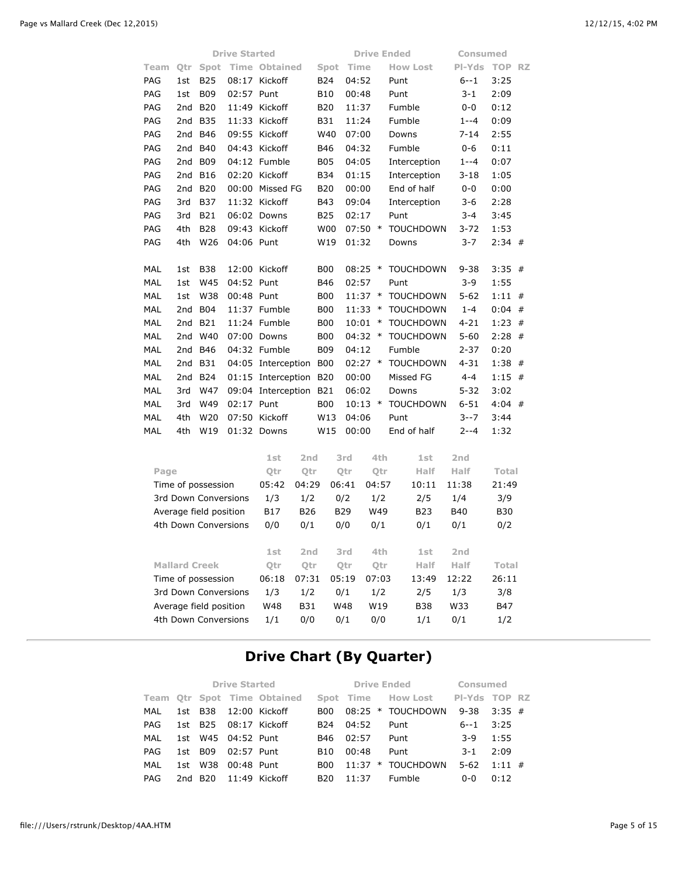|                                                |     |                      | <b>Drive Started</b> |                          |                 |                 |                   |              | <b>Drive Ended</b> | Consumed          |                   |   |  |
|------------------------------------------------|-----|----------------------|----------------------|--------------------------|-----------------|-----------------|-------------------|--------------|--------------------|-------------------|-------------------|---|--|
| Team                                           | Qtr | Spot                 |                      | <b>Time Obtained</b>     |                 | Spot            | Time              |              | <b>How Lost</b>    | PI-Yds            | <b>TOP RZ</b>     |   |  |
| PAG                                            | 1st | <b>B25</b>           |                      | 08:17 Kickoff            |                 | B24             | 04:52             |              | Punt               | $6 - 1$           | 3:25              |   |  |
| PAG                                            | 1st | <b>B09</b>           | 02:57 Punt           |                          |                 | <b>B10</b>      | 00:48             |              | Punt               | $3 - 1$           | 2:09              |   |  |
| PAG                                            | 2nd | <b>B20</b>           |                      | 11:49 Kickoff            |                 | <b>B20</b>      | 11:37             |              | Fumble             | $0 - 0$           | 0:12              |   |  |
| PAG                                            | 2nd | <b>B35</b>           |                      | 11:33 Kickoff            |                 | <b>B31</b>      | 11:24             |              | Fumble             | $1 - -4$          | 0:09              |   |  |
| PAG                                            | 2nd | <b>B46</b>           | 09:55                | Kickoff                  |                 | W40             | 07:00             |              | Downs              | $7 - 14$          | 2:55              |   |  |
| PAG                                            | 2nd | <b>B40</b>           |                      | 04:43 Kickoff            |                 | <b>B46</b>      | 04:32             |              | Fumble             | $0 - 6$           | 0:11              |   |  |
| PAG                                            | 2nd | <b>B09</b>           |                      | 04:12 Fumble             |                 | <b>B05</b>      | 04:05             |              | Interception       | $1 - -4$          | 0:07              |   |  |
| PAG                                            | 2nd | <b>B16</b>           |                      | 02:20 Kickoff            |                 | <b>B34</b>      | 01:15             |              | Interception       | $3 - 18$          | 1:05              |   |  |
| PAG                                            | 2nd | <b>B20</b>           |                      | 00:00 Missed FG          |                 | <b>B20</b>      | 00:00             |              | End of half        | $0 - 0$           | 0:00              |   |  |
| PAG                                            | 3rd | <b>B37</b>           |                      | 11:32 Kickoff            |                 | <b>B43</b>      | 09:04             |              | Interception       | $3-6$             | 2:28              |   |  |
| PAG                                            | 3rd | B21                  |                      | 06:02 Downs              |                 | <b>B25</b>      | 02:17             |              | Punt               | $3 - 4$           | 3:45              |   |  |
| PAG                                            | 4th | <b>B28</b>           |                      | 09:43 Kickoff            |                 | W <sub>00</sub> | $07:50$ *         |              | <b>TOUCHDOWN</b>   | 3-72              | 1:53              |   |  |
| PAG                                            | 4th | W26                  | 04:06 Punt           |                          |                 | W19             | 01:32             |              | Downs              | $3 - 7$           | $2:34$ #          |   |  |
|                                                |     |                      |                      |                          |                 |                 |                   |              |                    |                   |                   |   |  |
| MAL                                            | 1st | <b>B38</b>           |                      | 12:00 Kickoff            |                 | B00             | $08:25$ *         |              | <b>TOUCHDOWN</b>   | $9 - 38$          | $3:35$ #          |   |  |
| MAL                                            | 1st | W45                  | 04:52 Punt           |                          |                 | B46             | 02:57             |              | Punt               | $3 - 9$           | 1:55              |   |  |
| <b>MAL</b>                                     | 1st | W38                  | 00:48 Punt           |                          |                 | <b>B00</b>      | 11:37             | $\ast$       | <b>TOUCHDOWN</b>   | $5 - 62$          | 1:11              | # |  |
| <b>MAL</b>                                     | 2nd | <b>B04</b>           |                      | 11:37 Fumble             |                 | <b>B00</b>      | 11:33             | $\ast$       | <b>TOUCHDOWN</b>   | $1 - 4$           | 0:04              | # |  |
| <b>MAL</b>                                     | 2nd | <b>B21</b>           |                      | 11:24 Fumble             |                 | <b>B00</b>      | 10:01             | $\ast$       | <b>TOUCHDOWN</b>   | $4 - 21$          | 1:23              | # |  |
| <b>MAL</b>                                     | 2nd | W40                  |                      | 07:00 Downs              |                 | <b>B00</b>      | 04:32             | $\ast$       | <b>TOUCHDOWN</b>   | $5 - 60$          | $2:28$ #          |   |  |
| <b>MAL</b>                                     | 2nd | <b>B46</b>           |                      | 04:32 Fumble             |                 | <b>B09</b>      | 04:12             |              | Fumble             | $2 - 37$          | 0:20              |   |  |
| MAL                                            | 2nd | <b>B31</b>           |                      | 04:05 Interception       |                 | <b>B00</b>      | $02:27$ *         |              | <b>TOUCHDOWN</b>   | $4 - 31$          | $1:38$ #          |   |  |
| MAL                                            | 2nd | <b>B24</b>           |                      | 01:15 Interception B20   |                 |                 | 00:00             |              | Missed FG          | $4 - 4$           | 1:15              | # |  |
| MAL                                            | 3rd | W47                  |                      | 09:04 Interception B21   |                 |                 | 06:02             |              | Downs              | $5 - 32$          | 3:02              |   |  |
| MAL                                            | 3rd | W49                  | 02:17 Punt           |                          |                 | <b>B00</b>      | $10:13$ *         |              | <b>TOUCHDOWN</b>   | $6 - 51$          | $4:04$ #          |   |  |
| MAL                                            | 4th | W20                  |                      | 07:50 Kickoff            |                 | W13             | 04:06             |              | Punt               | $3 - 7$           | 3:44              |   |  |
| MAL                                            | 4th | W19                  |                      | 01:32 Downs              |                 | W15             | 00:00             |              | End of half        | $2 - -4$          | 1:32              |   |  |
|                                                |     |                      |                      |                          |                 |                 |                   |              |                    |                   |                   |   |  |
|                                                |     |                      |                      | 1st                      | 2 <sub>nd</sub> |                 | 3rd               | 4th          | 1st                | 2nd               |                   |   |  |
| Page                                           |     | Time of possession   |                      | Qtr<br>05:42             | Qtr<br>04:29    |                 | Qtr<br>06:41      | Qtr<br>04:57 | Half<br>10:11      | Half<br>11:38     | Total<br>21:49    |   |  |
|                                                |     |                      |                      |                          |                 |                 |                   |              |                    |                   |                   |   |  |
|                                                |     | 3rd Down Conversions |                      | 1/3                      | 1/2             |                 | 0/2<br><b>B29</b> | 1/2<br>W49   | 2/5<br><b>B23</b>  | 1/4<br><b>B40</b> | 3/9<br><b>B30</b> |   |  |
| Average field position<br>4th Down Conversions |     |                      | 0/0                  | <b>B17</b><br><b>B26</b> |                 |                 |                   |              |                    |                   |                   |   |  |
|                                                |     |                      |                      |                          | 0/1             |                 | 0/0               | 0/1          | 0/1                | 0/1               | 0/2               |   |  |
|                                                |     |                      |                      |                          |                 |                 |                   |              |                    |                   |                   |   |  |

| Average Held position  | DI/   | DZO             | <b>DZY</b> | $V + 9$ | DZJ.       | D40             | טכם        |
|------------------------|-------|-----------------|------------|---------|------------|-----------------|------------|
| 4th Down Conversions   | 0/0   | 0/1             | 0/0        | 0/1     | 0/1        | 0/1             | 0/2        |
|                        | 1st   | 2 <sub>nd</sub> | 3rd        | 4th     | 1st        | 2 <sub>nd</sub> |            |
| <b>Mallard Creek</b>   | Otr   | Otr             | Otr        | Otr     | Half       | Half            | Total      |
| Time of possession     | 06:18 | 07:31           | 05:19      | 07:03   | 13:49      | 12:22           | 26:11      |
| 3rd Down Conversions   | 1/3   | 1/2             | 0/1        | 1/2     | 2/5        | 1/3             | 3/8        |
| Average field position | W48   | <b>B31</b>      | W48        | W19     | <b>B38</b> | W33             | <b>B47</b> |
| 4th Down Conversions   | 1/1   | 0/0             | 0/1        | 0/0     | 1/1        | 0/1             | 1/2        |
|                        |       |                 |            |         |            |                 |            |

## **Drive Chart (By Quarter)**

|      |         |                    | <b>Drive Started</b>        |                 | <b>Drive Ended</b> | Consumed                         |          |           |  |
|------|---------|--------------------|-----------------------------|-----------------|--------------------|----------------------------------|----------|-----------|--|
|      |         |                    | Team Otr Spot Time Obtained |                 |                    | Spot Time How Lost PI-Yds TOP RZ |          |           |  |
| MAL  |         |                    | 1st B38 12:00 Kickoff       | B <sub>00</sub> |                    | 08:25 * TOUCHDOWN                | $9 - 38$ | $3:35$ #  |  |
| PAG. |         |                    | 1st B25 08:17 Kickoff       | B <sub>24</sub> | 04:52              | Punt                             | $6 - 1$  | 3:25      |  |
| MAL  |         | 1st W45 04:52 Punt |                             | B46             | 02:57              | Punt                             | $3-9$    | 1:55      |  |
| PAG. | 1st B09 | 02:57 Punt         |                             | B10             | 00:48              | Punt                             | $3-1$    | 2:09      |  |
| MAL  | 1st W38 | 00:48 Punt         |                             | B <sub>00</sub> |                    | $11:37$ * TOUCHDOWN              | $5 - 62$ | $1:11 \#$ |  |
| PAG  |         |                    | 2nd B20 11:49 Kickoff       | B <sub>20</sub> | 11:37              | Fumble                           | $0 - 0$  | 0:12      |  |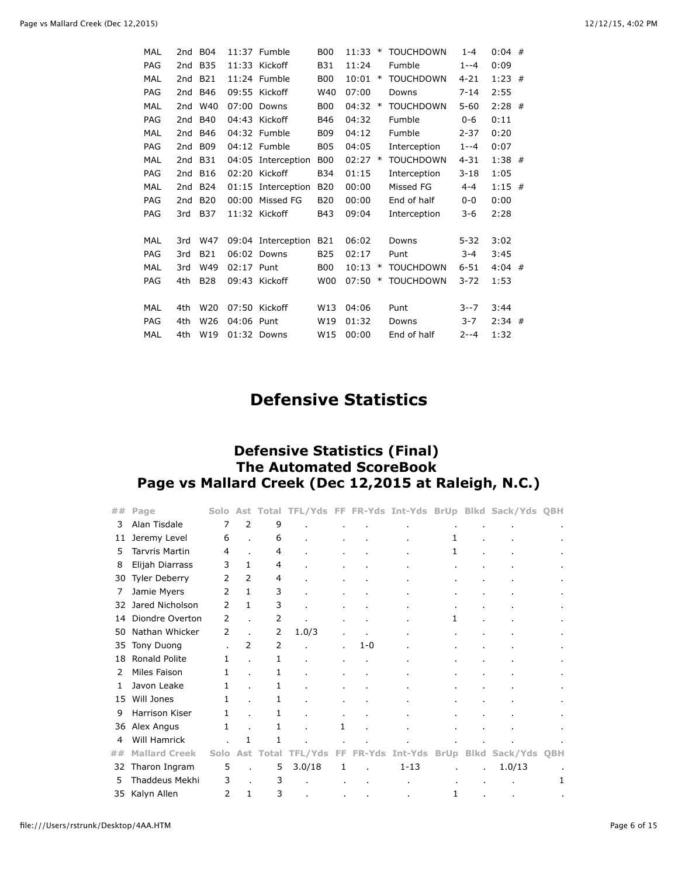| <b>MAL</b> |     | 2nd B04         |            | 11:37 Fumble       | <b>B00</b> | 11:33     | ∗      | <b>TOUCHDOWN</b> | $1 - 4$  | $0:04$ # |  |
|------------|-----|-----------------|------------|--------------------|------------|-----------|--------|------------------|----------|----------|--|
| PAG        | 2nd | <b>B35</b>      |            | $11:33$ Kickoff    | <b>B31</b> | 11:24     |        | Fumble           | $1 - -4$ | 0:09     |  |
| <b>MAL</b> | 2nd | <b>B21</b>      |            | $11:24$ Fumble     | <b>B00</b> | 10:01     | ∗      | <b>TOUCHDOWN</b> | $4 - 21$ | $1:23$ # |  |
| PAG        | 2nd | B46             |            | 09:55 Kickoff      | W40        | 07:00     |        | Downs            | $7 - 14$ | 2:55     |  |
| <b>MAL</b> | 2nd | W40             | 07:00      | Downs              | <b>B00</b> | 04:32     | $\ast$ | <b>TOUCHDOWN</b> | $5 - 60$ | $2:28$ # |  |
| <b>PAG</b> | 2nd | <b>B40</b>      |            | 04:43 Kickoff      | <b>B46</b> | 04:32     |        | Fumble           | $0 - 6$  | 0:11     |  |
| <b>MAL</b> |     | 2nd B46         |            | 04:32 Fumble       | <b>B09</b> | 04:12     |        | Fumble           | $2 - 37$ | 0:20     |  |
| PAG        | 2nd | <b>B09</b>      |            | 04:12 Fumble       | <b>B05</b> | 04:05     |        | Interception     | $1 - -4$ | 0:07     |  |
| <b>MAL</b> | 2nd | <b>B31</b>      |            | 04:05 Interception | <b>B00</b> | $02:27$ * |        | <b>TOUCHDOWN</b> | $4 - 31$ | $1:38$ # |  |
| PAG        | 2nd | <b>B16</b>      |            | 02:20 Kickoff      | <b>B34</b> | 01:15     |        | Interception     | $3 - 18$ | 1:05     |  |
| MAL        | 2nd | <b>B24</b>      |            | 01:15 Interception | <b>B20</b> | 00:00     |        | Missed FG        | $4 - 4$  | $1:15$ # |  |
| <b>PAG</b> | 2nd | <b>B20</b>      | 00:00      | Missed FG          | <b>B20</b> | 00:00     |        | End of half      | $0 - 0$  | 0:00     |  |
| PAG        | 3rd | <b>B37</b>      |            | 11:32 Kickoff      | <b>B43</b> | 09:04     |        | Interception     | 3-6      | 2:28     |  |
|            |     |                 |            |                    |            |           |        |                  |          |          |  |
| <b>MAL</b> | 3rd | W47             |            | 09:04 Interception | <b>B21</b> | 06:02     |        | Downs            | $5 - 32$ | 3:02     |  |
| PAG        | 3rd | <b>B21</b>      |            | 06:02 Downs        | <b>B25</b> | 02:17     |        | Punt             | $3 - 4$  | 3:45     |  |
| <b>MAL</b> | 3rd | W49             | 02:17 Punt |                    | <b>B00</b> | 10:13     | $\ast$ | <b>TOUCHDOWN</b> | $6 - 51$ | $4:04$ # |  |
| PAG        | 4th | <b>B28</b>      |            | 09:43 Kickoff      | <b>W00</b> | 07:50     | $\ast$ | <b>TOUCHDOWN</b> | $3 - 72$ | 1:53     |  |
|            |     |                 |            |                    |            |           |        |                  |          |          |  |
| <b>MAL</b> | 4th | W <sub>20</sub> |            | 07:50 Kickoff      | W13        | 04:06     |        | Punt             | $3 - 7$  | 3:44     |  |
| PAG        | 4th | W <sub>26</sub> | 04:06 Punt |                    | W19        | 01:32     |        | Downs            | $3 - 7$  | $2:34$ # |  |
| MAL        | 4th | W19             |            | 01:32 Downs        | W15        | 00:00     |        | End of half      | $2 - -4$ | 1:32     |  |

# **Defensive Statistics**

### **Defensive Statistics (Final) The Automated ScoreBook Page vs Mallard Creek (Dec 12,2015 at Raleigh, N.C.)**

| ## | Page                  | Solo          | Ast            | Total | TFL/Yds FF FR-Yds Int-Yds BrUp |                |               |                |                |                | <b>Blkd Sack/Yds</b> | QBH            |
|----|-----------------------|---------------|----------------|-------|--------------------------------|----------------|---------------|----------------|----------------|----------------|----------------------|----------------|
| 3  | Alan Tisdale          | 7             | $\overline{2}$ | 9     |                                |                |               |                |                |                |                      | $\blacksquare$ |
| 11 | Jeremy Level          | 6             |                | 6     |                                | $\blacksquare$ |               | $\blacksquare$ | 1              | $\blacksquare$ | $\blacksquare$       |                |
| 5  | <b>Tarvris Martin</b> | 4             |                | 4     |                                |                |               | $\blacksquare$ | 1              |                |                      |                |
| 8  | Elijah Diarrass       | 3             | 1              | 4     |                                |                |               | $\blacksquare$ | $\bullet$      |                |                      |                |
| 30 | <b>Tyler Deberry</b>  | 2             | 2              | 4     |                                |                |               | $\blacksquare$ | $\bullet$      |                |                      |                |
| 7  | Jamie Myers           | 2             | 1              | 3     |                                |                |               | $\blacksquare$ | $\blacksquare$ |                |                      |                |
| 32 | Jared Nicholson       | 2             | 1              | 3     |                                |                |               | $\blacksquare$ | $\mathbf{r}$   |                |                      |                |
| 14 | Diondre Overton       | 2             |                | 2     |                                |                |               | $\blacksquare$ | 1              |                |                      | $\blacksquare$ |
| 50 | Nathan Whicker        | 2             |                | 2     | 1.0/3                          | $\mathbf{r}$   | $\sim$        | $\blacksquare$ | $\bullet$      |                | ٠                    |                |
| 35 | Tony Duong            |               | 2              | 2     |                                |                | $1 - 0$       |                | $\bullet$      |                |                      |                |
| 18 | Ronald Polite         | 1             |                | 1     |                                |                |               | ä,             |                |                |                      |                |
| 2  | Miles Faison          | 1             |                | 1     |                                | $\mathbf{r}$   |               | ٠              | $\blacksquare$ |                |                      |                |
| 1. | Javon Leake           | 1             |                | 1     |                                | $\blacksquare$ |               | $\blacksquare$ | $\blacksquare$ |                |                      |                |
| 15 | Will Jones            | 1             |                | 1     |                                |                |               | $\mathbf{r}$   |                |                |                      |                |
| 9  | Harrison Kiser        | 1             |                | 1     |                                | $\blacksquare$ |               | $\blacksquare$ | $\blacksquare$ |                |                      |                |
| 36 | Alex Angus            | $\mathbf{1}$  |                | 1     |                                | $\mathbf{1}$   |               | $\blacksquare$ | $\bullet$      |                |                      |                |
| 4  | Will Hamrick          |               | 1              | 1     |                                | $\mathbf{r}$   |               |                |                |                |                      |                |
| ## | <b>Mallard Creek</b>  | Solo          | Ast            | Total | TFL/Yds                        | FF.            | <b>FR-Yds</b> | Int-Yds        | BrUp           | <b>Blkd</b>    | Sack/Yds QBH         |                |
| 32 | Tharon Ingram         | 5             |                | 5     | 3.0/18                         | 1              |               | $1 - 13$       | $\mathbf{r}$   | $\mathbf{r}$   | 1.0/13               |                |
| 5  | Thaddeus Mekhi        | 3             | $\mathbf{r}$   | 3     | ×,                             |                |               |                | $\mathbf{r}$   |                |                      | 1.             |
| 35 | Kalyn Allen           | $\mathcal{P}$ | $\mathbf{1}$   | 3     |                                | $\mathbf{r}$   | $\mathbf{r}$  | ٠              | 1              |                | ٠                    |                |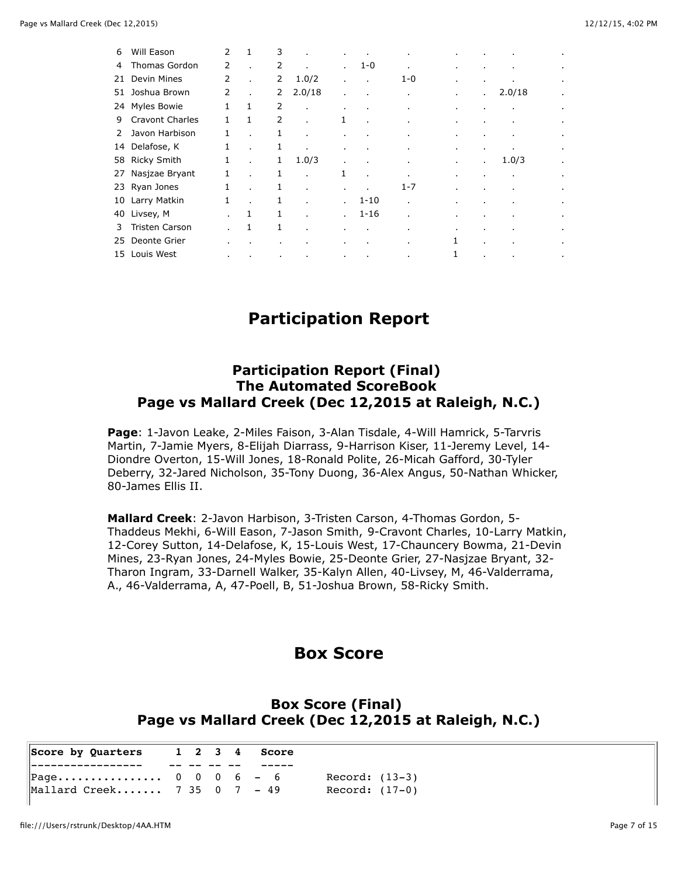| 6  | Will Eason             | 2            | 1      | 3            | $\blacksquare$ | $\mathbf{r}$ |                | $\bullet$      | ٠              |              |              | $\blacksquare$        |
|----|------------------------|--------------|--------|--------------|----------------|--------------|----------------|----------------|----------------|--------------|--------------|-----------------------|
| 4  | Thomas Gordon          | 2            |        | 2            | $\mathbf{r}$   | $\mathbf{r}$ | $1 - 0$        | $\mathbf{r}$   | ٠              |              | $\mathbf{r}$ | $\sim$                |
| 21 | Devin Mines            | 2            |        | 2            | 1.0/2          | $\mathbf{r}$ |                | 1-0            |                | $\bullet$    | $\sim$       | $\sim$                |
| 51 | Joshua Brown           | 2            |        | 2            | 2.0/18         | $\mathbf{r}$ |                | ×              | ٠              | $\mathbf{r}$ | 2.0/18       | $\blacksquare$        |
|    | 24 Myles Bowie         | $\mathbf{1}$ | 1      | 2            | $\mathbf{r}$   | $\mathbf{r}$ | $\blacksquare$ | $\bullet$      | $\bullet$      | $\mathbf{r}$ |              | $\sim$                |
| 9  | <b>Cravont Charles</b> | 1            | 1      | 2            | $\mathbf{r}$   | 1            | $\bullet$      | $\mathbf{r}$   | $\blacksquare$ |              |              | $\sim$                |
| 2  | Javon Harbison         | 1            |        | 1            | $\mathbf{r}$   | $\mathbf{r}$ | $\mathbf{r}$   | $\mathbf{r}$   | $\mathbf{r}$   |              |              | $\sim$                |
|    | 14 Delafose, K         | 1            |        | 1            | $\mathbf{r}$   | $\mathbf{r}$ |                |                |                |              |              | $\sim$                |
|    | 58 Ricky Smith         | 1            |        | 1            | 1.0/3          | $\bullet$    | $\bullet$      | $\bullet$      | $\bullet$      | $\mathbf{r}$ | 1.0/3        | $\bullet$             |
| 27 | Nasjzae Bryant         | 1            |        | 1            |                | 1            |                | $\mathbf{r}$   | $\mathbf{r}$   |              |              | $\mathbf{r}^{\prime}$ |
|    | 23 Ryan Jones          | 1            |        | 1            |                | $\mathbf{r}$ |                | $1 - 7$        | ٠              |              |              | $\sim$                |
| 10 | Larry Matkin           | 1            |        | 1            |                | $\mathbf{r}$ | $1 - 10$       | $\mathbf{r}$   | ٠              |              |              | $\sim$                |
| 40 | Livsey, M              |              | 1      | $\mathbf{1}$ |                | $\mathbf{r}$ | $1 - 16$       | $\mathbf{r}$   |                |              |              | $\sim$                |
| 3  | <b>Tristen Carson</b>  |              | 1      | 1            | $\blacksquare$ | ٠            | $\blacksquare$ | ٠              | ٠              |              |              | ٠                     |
| 25 | Deonte Grier           |              |        |              |                |              |                | $\blacksquare$ | 1              |              |              | $\blacksquare$        |
|    | 15 Louis West          | ٠            | $\sim$ | $\cdot$      |                | $\sim$       | $\sim$         | $\bullet$      | 1              | $\bullet$    | $\cdot$      | $\sim$                |

## **Participation Report**

### **Participation Report (Final) The Automated ScoreBook Page vs Mallard Creek (Dec 12,2015 at Raleigh, N.C.)**

**Page**: 1-Javon Leake, 2-Miles Faison, 3-Alan Tisdale, 4-Will Hamrick, 5-Tarvris Martin, 7-Jamie Myers, 8-Elijah Diarrass, 9-Harrison Kiser, 11-Jeremy Level, 14- Diondre Overton, 15-Will Jones, 18-Ronald Polite, 26-Micah Gafford, 30-Tyler Deberry, 32-Jared Nicholson, 35-Tony Duong, 36-Alex Angus, 50-Nathan Whicker, 80-James Ellis II.

**Mallard Creek**: 2-Javon Harbison, 3-Tristen Carson, 4-Thomas Gordon, 5- Thaddeus Mekhi, 6-Will Eason, 7-Jason Smith, 9-Cravont Charles, 10-Larry Matkin, 12-Corey Sutton, 14-Delafose, K, 15-Louis West, 17-Chauncery Bowma, 21-Devin Mines, 23-Ryan Jones, 24-Myles Bowie, 25-Deonte Grier, 27-Nasjzae Bryant, 32- Tharon Ingram, 33-Darnell Walker, 35-Kalyn Allen, 40-Livsey, M, 46-Valderrama, A., 46-Valderrama, A, 47-Poell, B, 51-Joshua Brown, 58-Ricky Smith.

## **Box Score**

### **Box Score (Final) Page vs Mallard Creek (Dec 12,2015 at Raleigh, N.C.)**

| $\parallel$ Score by Quarters 1 2 3 4 Score |  |  |                |
|---------------------------------------------|--|--|----------------|
|                                             |  |  |                |
| Page $0 \t 0 \t 0 \t 6 \t - \t 6$           |  |  | Record: (13-3) |
| Mallard Creek 7 35 $0 \quad 7 \quad -49$    |  |  | Record: (17-0) |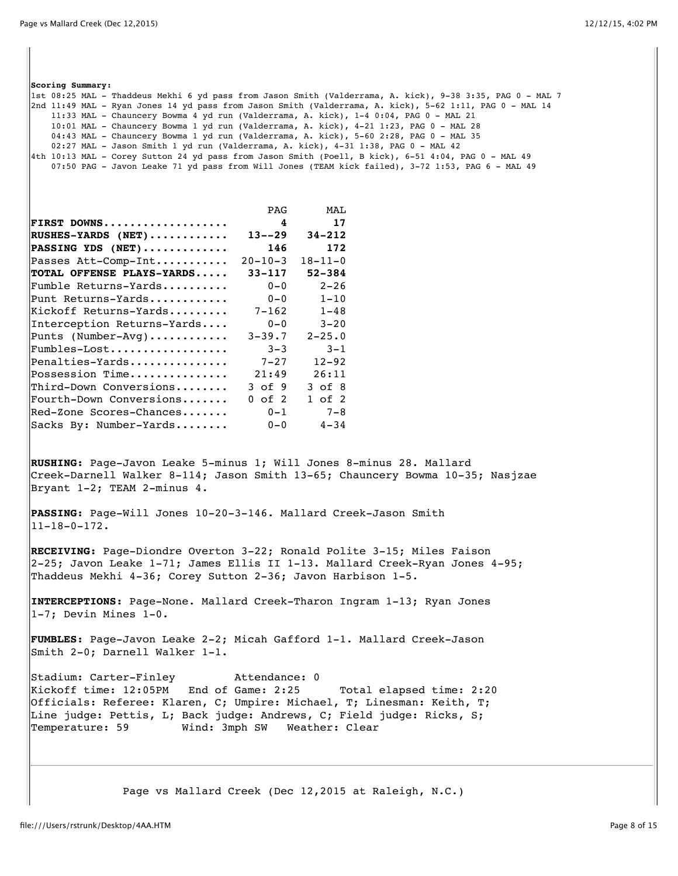| 2nd 11:49 MAL - Ryan Jones 14 yd pass from Jason Smith (Valderrama, A. kick), 5-62 1:11, PAG 0 - MAL 14 <br>11:33 MAL - Chauncery Bowma 4 yd run (Valderrama, A. kick), 1-4 0:04, PAG 0 - MAL 21<br>10:01 MAL - Chauncery Bowma 1 yd run (Valderrama, A. kick), 4-21 1:23, PAG 0 - MAL 28<br>04:43 MAL - Chauncery Bowma 1 yd run (Valderrama, A. kick), 5-60 2:28, PAG 0 - MAL 35<br>02:27 MAL - Jason Smith 1 yd run (Valderrama, A. kick), 4-31 1:38, PAG 0 - MAL 42<br>4th 10:13 MAL - Corey Sutton 24 yd pass from Jason Smith (Poell, B kick), 6-51 4:04, PAG 0 - MAL 49 |                                               |                       | lst 08:25 MAL - Thaddeus Mekhi 6 yd pass from Jason Smith (Valderrama, A. kick), 9-38 3:35, PAG 0 - MAL 7 <br>07:50 PAG - Javon Leake 71 yd pass from Will Jones (TEAM kick failed), 3-72 1:53, PAG 6 - MAL 49 |
|--------------------------------------------------------------------------------------------------------------------------------------------------------------------------------------------------------------------------------------------------------------------------------------------------------------------------------------------------------------------------------------------------------------------------------------------------------------------------------------------------------------------------------------------------------------------------------|-----------------------------------------------|-----------------------|----------------------------------------------------------------------------------------------------------------------------------------------------------------------------------------------------------------|
|                                                                                                                                                                                                                                                                                                                                                                                                                                                                                                                                                                                | PAG                                           | MAL                   |                                                                                                                                                                                                                |
| FIRST DOWNS                                                                                                                                                                                                                                                                                                                                                                                                                                                                                                                                                                    | 4                                             | 17                    |                                                                                                                                                                                                                |
| $\vert$ RUSHES-YARDS (NET)                                                                                                                                                                                                                                                                                                                                                                                                                                                                                                                                                     | $13 - -29$                                    | $34 - 212$            |                                                                                                                                                                                                                |
| $\verb PASSING YDS (NET) \dots \dots \dots \dots$                                                                                                                                                                                                                                                                                                                                                                                                                                                                                                                              | 146                                           | 172                   |                                                                                                                                                                                                                |
| Passes Att-Comp-Int                                                                                                                                                                                                                                                                                                                                                                                                                                                                                                                                                            | $20 - 10 - 3$                                 | $18 - 11 - 0$         |                                                                                                                                                                                                                |
| TOTAL OFFENSE PLAYS-YARDS                                                                                                                                                                                                                                                                                                                                                                                                                                                                                                                                                      | $33 - 117$                                    | 52-384                |                                                                                                                                                                                                                |
| $\verb Fumble Returns-Yards$                                                                                                                                                                                                                                                                                                                                                                                                                                                                                                                                                   | $0 - 0$                                       | $2 - 26$              |                                                                                                                                                                                                                |
| Punt Returns-Yards                                                                                                                                                                                                                                                                                                                                                                                                                                                                                                                                                             | $0 - 0$                                       | $1 - 10$              |                                                                                                                                                                                                                |
| $\,$ Ki $\,$ koff Returns-Yards                                                                                                                                                                                                                                                                                                                                                                                                                                                                                                                                                | $7 - 162$                                     | $1 - 48$              |                                                                                                                                                                                                                |
| Interception Returns-Yards                                                                                                                                                                                                                                                                                                                                                                                                                                                                                                                                                     | $0 - 0$<br>$3 - 39.7$                         | $3 - 20$              |                                                                                                                                                                                                                |
| Punts (Number-Avg)<br>Fumbles-Lost                                                                                                                                                                                                                                                                                                                                                                                                                                                                                                                                             | $3 - 3$                                       | $2 - 25.0$<br>$3 - 1$ |                                                                                                                                                                                                                |
| Penalties-Yards                                                                                                                                                                                                                                                                                                                                                                                                                                                                                                                                                                | $7 - 27$                                      | $12 - 92$             |                                                                                                                                                                                                                |
| Possession Time                                                                                                                                                                                                                                                                                                                                                                                                                                                                                                                                                                | 21:49                                         | 26:11                 |                                                                                                                                                                                                                |
| Third-Down Conversions                                                                                                                                                                                                                                                                                                                                                                                                                                                                                                                                                         | 3 of 9                                        | $3$ of $8$            |                                                                                                                                                                                                                |
| Fourth-Down Conversions                                                                                                                                                                                                                                                                                                                                                                                                                                                                                                                                                        | $0$ of $2$                                    | $1$ of $2$            |                                                                                                                                                                                                                |
| Red-Zone Scores-Chances                                                                                                                                                                                                                                                                                                                                                                                                                                                                                                                                                        | $0 - 1$                                       | $7 - 8$               |                                                                                                                                                                                                                |
| Sacks By: Number-Yards                                                                                                                                                                                                                                                                                                                                                                                                                                                                                                                                                         | $0 - 0$                                       | $4 - 34$              |                                                                                                                                                                                                                |
| RUSHING: Page-Javon Leake 5-minus 1; Will Jones 8-minus 28. Mallard<br>Creek-Darnell Walker 8-114; Jason Smith 13-65; Chauncery Bowma 10-35; Nasjzae<br>Bryant 1-2; TEAM 2-minus 4.<br>PASSING: Page-Will Jones 10-20-3-146. Mallard Creek-Jason Smith<br>$ 11 - 18 - 0 - 172$ .                                                                                                                                                                                                                                                                                               |                                               |                       |                                                                                                                                                                                                                |
| RECEIVING: Page-Diondre Overton 3-22; Ronald Polite 3-15; Miles Faison<br>2-25; Javon Leake 1-71; James Ellis II 1-13. Mallard Creek-Ryan Jones 4-95;<br>Thaddeus Mekhi 4-36; Corey Sutton 2-36; Javon Harbison 1-5.                                                                                                                                                                                                                                                                                                                                                           |                                               |                       |                                                                                                                                                                                                                |
| INTERCEPTIONS: Page-None. Mallard Creek-Tharon Ingram 1-13; Ryan Jones<br>$ 1-7$ ; Devin Mines $1-0$ .                                                                                                                                                                                                                                                                                                                                                                                                                                                                         |                                               |                       |                                                                                                                                                                                                                |
| FUMBLES: Page-Javon Leake 2-2; Micah Gafford 1-1. Mallard Creek-Jason<br>Smith 2-0; Darnell Walker 1-1.                                                                                                                                                                                                                                                                                                                                                                                                                                                                        |                                               |                       |                                                                                                                                                                                                                |
| Stadium: Carter-Finley<br>Kickoff time: 12:05PM End of Game: 2:25<br>$ $ Officials: Referee: Klaren, C; Umpire: Michael, T; Linesman: Keith, T;<br>Line judge: Pettis, L; Back judge: Andrews, C; Field judge: Ricks, S;<br>Temperature: 59                                                                                                                                                                                                                                                                                                                                    | Attendance: 0<br>Wind: 3mph SW Weather: Clear |                       | Total elapsed time: 2:20                                                                                                                                                                                       |
|                                                                                                                                                                                                                                                                                                                                                                                                                                                                                                                                                                                |                                               |                       | Page vs Mallard Creek (Dec 12,2015 at Raleigh, N.C.)                                                                                                                                                           |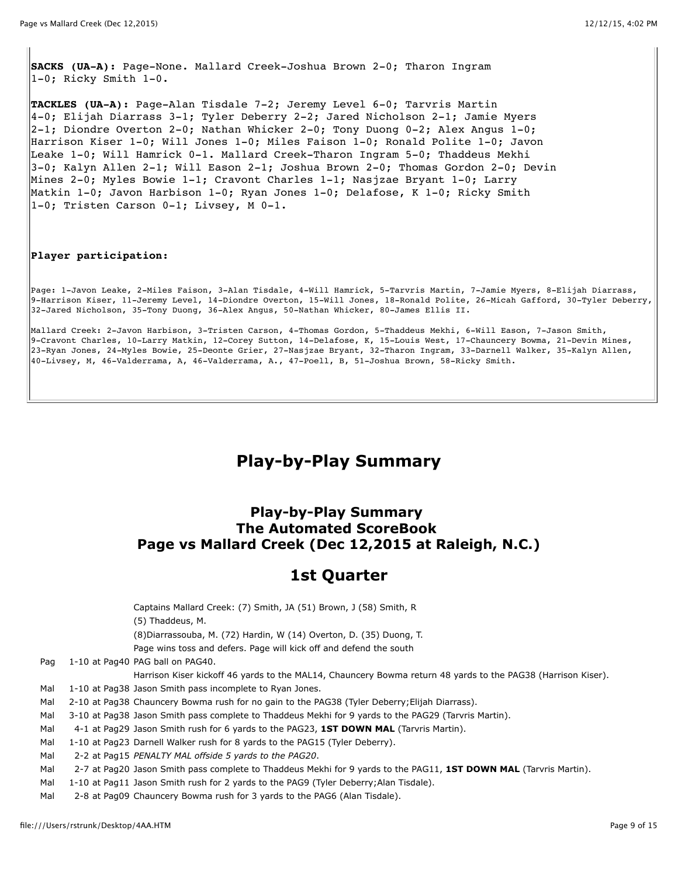**SACKS (UA-A):** Page-None. Mallard Creek-Joshua Brown 2-0; Tharon Ingram 1-0; Ricky Smith 1-0.

**TACKLES (UA-A):** Page-Alan Tisdale 7-2; Jeremy Level 6-0; Tarvris Martin 4-0; Elijah Diarrass 3-1; Tyler Deberry 2-2; Jared Nicholson 2-1; Jamie Myers  $2-1$ ; Diondre Overton 2-0; Nathan Whicker 2-0; Tony Duong 0-2; Alex Angus 1-0; Harrison Kiser 1-0; Will Jones 1-0; Miles Faison 1-0; Ronald Polite 1-0; Javon Leake 1-0; Will Hamrick 0-1. Mallard Creek-Tharon Ingram 5-0; Thaddeus Mekhi 3-0; Kalyn Allen 2-1; Will Eason 2-1; Joshua Brown 2-0; Thomas Gordon 2-0; Devin Mines 2-0; Myles Bowie 1-1; Cravont Charles 1-1; Nasjzae Bryant 1-0; Larry Matkin 1-0; Javon Harbison 1-0; Ryan Jones 1-0; Delafose, K 1-0; Ricky Smith 1-0; Tristen Carson 0-1; Livsey, M 0-1.

#### **Player participation:**

Page: 1-Javon Leake, 2-Miles Faison, 3-Alan Tisdale, 4-Will Hamrick, 5-Tarvris Martin, 7-Jamie Myers, 8-Elijah Diarrass, 9-Harrison Kiser, 11-Jeremy Level, 14-Diondre Overton, 15-Will Jones, 18-Ronald Polite, 26-Micah Gafford, 30-Tyler Deberry, 32-Jared Nicholson, 35-Tony Duong, 36-Alex Angus, 50-Nathan Whicker, 80-James Ellis II.

Mallard Creek: 2-Javon Harbison, 3-Tristen Carson, 4-Thomas Gordon, 5-Thaddeus Mekhi, 6-Will Eason, 7-Jason Smith, 9-Cravont Charles, 10-Larry Matkin, 12-Corey Sutton, 14-Delafose, K, 15-Louis West, 17-Chauncery Bowma, 21-Devin Mines, 23-Ryan Jones, 24-Myles Bowie, 25-Deonte Grier, 27-Nasjzae Bryant, 32-Tharon Ingram, 33-Darnell Walker, 35-Kalyn Allen, 40-Livsey, M, 46-Valderrama, A, 46-Valderrama, A., 47-Poell, B, 51-Joshua Brown, 58-Ricky Smith.

## **Play-by-Play Summary**

### **Play-by-Play Summary The Automated ScoreBook Page vs Mallard Creek (Dec 12,2015 at Raleigh, N.C.)**

## **1st Quarter**

Captains Mallard Creek: (7) Smith, JA (51) Brown, J (58) Smith, R (5) Thaddeus, M. (8)Diarrassouba, M. (72) Hardin, W (14) Overton, D. (35) Duong, T. Page wins toss and defers. Page will kick off and defend the south Pag 1-10 at Pag40 PAG ball on PAG40. Harrison Kiser kickoff 46 yards to the MAL14, Chauncery Bowma return 48 yards to the PAG38 (Harrison Kiser). Mal 1-10 at Pag38 Jason Smith pass incomplete to Ryan Jones. Mal 2-10 at Pag38 Chauncery Bowma rush for no gain to the PAG38 (Tyler Deberry; Elijah Diarrass). Mal 3-10 at Pag38 Jason Smith pass complete to Thaddeus Mekhi for 9 yards to the PAG29 (Tarvris Martin). Mal 4-1 at Pag29 Jason Smith rush for 6 yards to the PAG23, **1ST DOWN MAL** (Tarvris Martin). Mal 1-10 at Pag23 Darnell Walker rush for 8 yards to the PAG15 (Tyler Deberry). Mal 2-2 at Pag15 *PENALTY MAL offside 5 yards to the PAG20*. Mal 2-7 at Pag20 Jason Smith pass complete to Thaddeus Mekhi for 9 yards to the PAG11, **1ST DOWN MAL** (Tarvris Martin).

- Mal 1-10 at Pag11 Jason Smith rush for 2 yards to the PAG9 (Tyler Deberry; Alan Tisdale).
- Mal 2-8 at Pag09 Chauncery Bowma rush for 3 yards to the PAG6 (Alan Tisdale).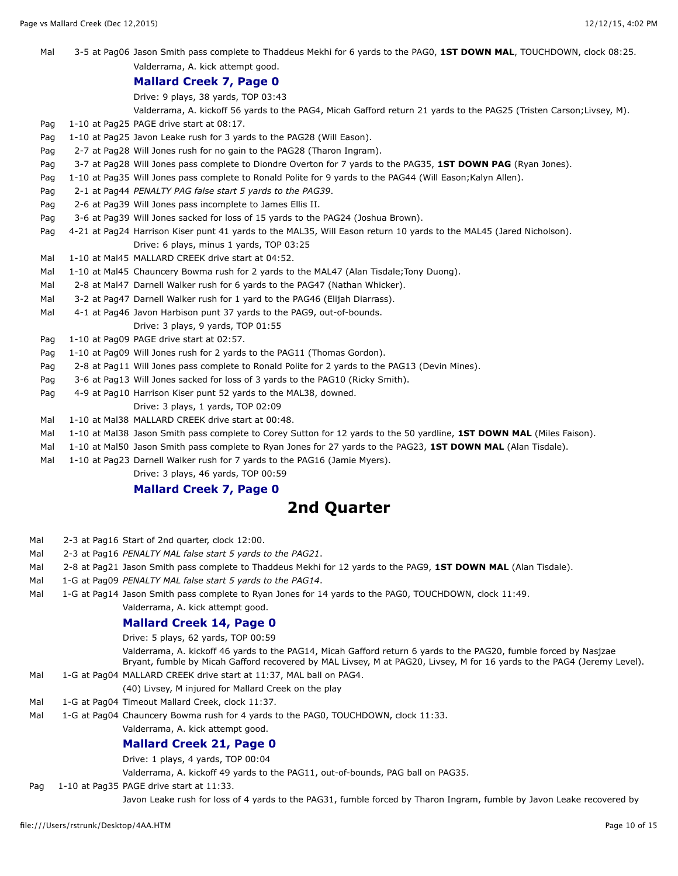Mal 3-5 at Pag06 Jason Smith pass complete to Thaddeus Mekhi for 6 yards to the PAG0, **1ST DOWN MAL**, TOUCHDOWN, clock 08:25. Valderrama, A. kick attempt good.

#### **Mallard Creek 7, Page 0**

Drive: 9 plays, 38 yards, TOP 03:43

Valderrama, A. kickoff 56 yards to the PAG4, Micah Gafford return 21 yards to the PAG25 (Tristen Carson;Livsey, M).

Pag 1-10 at Pag25 PAGE drive start at 08:17.

- Pag 1-10 at Pag25 Javon Leake rush for 3 yards to the PAG28 (Will Eason).
- Pag 2-7 at Pag28 Will Jones rush for no gain to the PAG28 (Tharon Ingram).
- Pag 3-7 at Pag28 Will Jones pass complete to Diondre Overton for 7 yards to the PAG35, **1ST DOWN PAG** (Ryan Jones).
- Pag 1-10 at Pag35 Will Jones pass complete to Ronald Polite for 9 yards to the PAG44 (Will Eason;Kalyn Allen).
- Pag 2-1 at Pag44 *PENALTY PAG false start 5 yards to the PAG39*.
- Pag 2-6 at Pag39 Will Jones pass incomplete to James Ellis II.
- Pag 3-6 at Pag39 Will Jones sacked for loss of 15 yards to the PAG24 (Joshua Brown).
- Pag 4-21 at Pag24 Harrison Kiser punt 41 yards to the MAL35, Will Eason return 10 yards to the MAL45 (Jared Nicholson). Drive: 6 plays, minus 1 yards, TOP 03:25
- Mal 1-10 at Mal45 MALLARD CREEK drive start at 04:52.
- Mal 1-10 at Mal45 Chauncery Bowma rush for 2 yards to the MAL47 (Alan Tisdale; Tony Duong).
- Mal 2-8 at Mal47 Darnell Walker rush for 6 yards to the PAG47 (Nathan Whicker).
- Mal 3-2 at Pag47 Darnell Walker rush for 1 yard to the PAG46 (Elijah Diarrass).
- Mal 4-1 at Pag46 Javon Harbison punt 37 yards to the PAG9, out-of-bounds.
	- Drive: 3 plays, 9 yards, TOP 01:55
- Pag 1-10 at Pag09 PAGE drive start at 02:57.
- Pag 1-10 at Pag09 Will Jones rush for 2 yards to the PAG11 (Thomas Gordon).
- Pag 2-8 at Pag11 Will Jones pass complete to Ronald Polite for 2 yards to the PAG13 (Devin Mines).
- Pag 3-6 at Pag13 Will Jones sacked for loss of 3 yards to the PAG10 (Ricky Smith).
- Pag 4-9 at Pag10 Harrison Kiser punt 52 yards to the MAL38, downed. Drive: 3 plays, 1 yards, TOP 02:09
- Mal 1-10 at Mal38 MALLARD CREEK drive start at 00:48.
- Mal 1-10 at Mal38 Jason Smith pass complete to Corey Sutton for 12 yards to the 50 yardline, **1ST DOWN MAL** (Miles Faison).
- Mal 1-10 at Mal50 Jason Smith pass complete to Ryan Jones for 27 yards to the PAG23, **1ST DOWN MAL** (Alan Tisdale).
- Mal 1-10 at Pag23 Darnell Walker rush for 7 yards to the PAG16 (Jamie Myers).
	- Drive: 3 plays, 46 yards, TOP 00:59

### **Mallard Creek 7, Page 0**

### **2nd Quarter**

- Mal 2-3 at Pag16 Start of 2nd quarter, clock 12:00.
- Mal 2-3 at Pag16 *PENALTY MAL false start 5 yards to the PAG21*.
- Mal 2-8 at Pag21 Jason Smith pass complete to Thaddeus Mekhi for 12 yards to the PAG9, **1ST DOWN MAL** (Alan Tisdale).
- Mal 1-G at Pag09 *PENALTY MAL false start 5 yards to the PAG14*.
- Mal 1-G at Pag14 Jason Smith pass complete to Ryan Jones for 14 yards to the PAG0, TOUCHDOWN, clock 11:49.
	- Valderrama, A. kick attempt good.

#### **Mallard Creek 14, Page 0**

Drive: 5 plays, 62 yards, TOP 00:59

Valderrama, A. kickoff 46 yards to the PAG14, Micah Gafford return 6 yards to the PAG20, fumble forced by Nasjzae Bryant, fumble by Micah Gafford recovered by MAL Livsey, M at PAG20, Livsey, M for 16 yards to the PAG4 (Jeremy Level).

Mal 1-G at Pag04 MALLARD CREEK drive start at 11:37, MAL ball on PAG4.

(40) Livsey, M injured for Mallard Creek on the play

- Mal 1-G at Pag04 Timeout Mallard Creek, clock 11:37.
- Mal 1-G at Pag04 Chauncery Bowma rush for 4 yards to the PAG0, TOUCHDOWN, clock 11:33.

#### Valderrama, A. kick attempt good. **Mallard Creek 21, Page 0**

Drive: 1 plays, 4 yards, TOP 00:04

Valderrama, A. kickoff 49 yards to the PAG11, out-of-bounds, PAG ball on PAG35.

Pag 1-10 at Pag35 PAGE drive start at 11:33.

Javon Leake rush for loss of 4 yards to the PAG31, fumble forced by Tharon Ingram, fumble by Javon Leake recovered by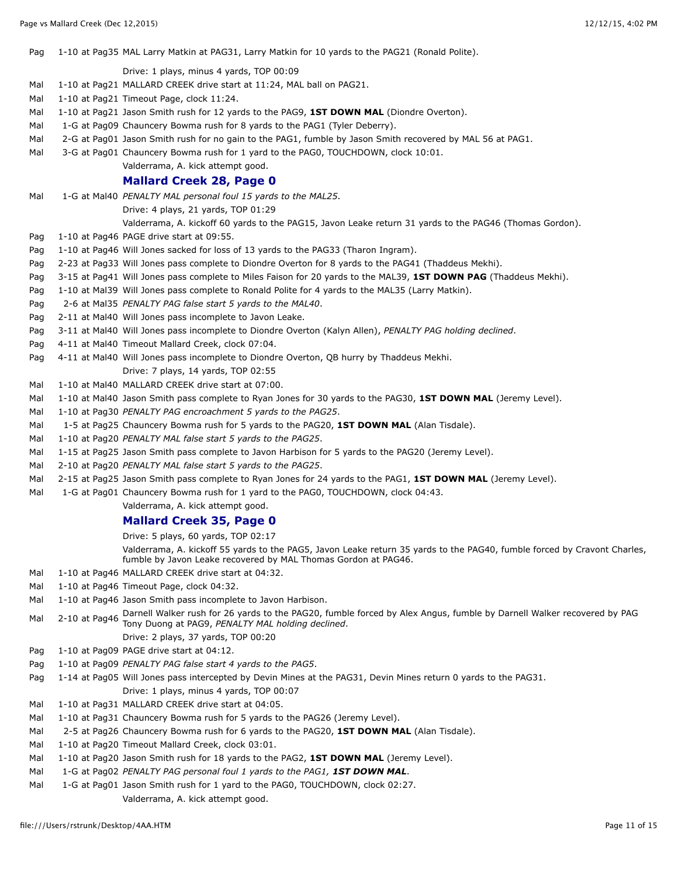Pag 1-10 at Pag35 MAL Larry Matkin at PAG31, Larry Matkin for 10 yards to the PAG21 (Ronald Polite).

#### Drive: 1 plays, minus 4 yards, TOP 00:09

- Mal 1-10 at Pag21 MALLARD CREEK drive start at 11:24, MAL ball on PAG21.
- Mal 1-10 at Pag21 Timeout Page, clock 11:24.
- Mal 1-10 at Pag21 Jason Smith rush for 12 yards to the PAG9, **1ST DOWN MAL** (Diondre Overton).
- Mal 1-G at Pag09 Chauncery Bowma rush for 8 yards to the PAG1 (Tyler Deberry).
- Mal 2-G at Pag01 Jason Smith rush for no gain to the PAG1, fumble by Jason Smith recovered by MAL 56 at PAG1.
- Mal 3-G at Pag01 Chauncery Bowma rush for 1 yard to the PAG0, TOUCHDOWN, clock 10:01.
	- Valderrama, A. kick attempt good.

#### **Mallard Creek 28, Page 0**

Mal 1-G at Mal40 *PENALTY MAL personal foul 15 yards to the MAL25*.

Drive: 4 plays, 21 yards, TOP 01:29

Valderrama, A. kickoff 60 yards to the PAG15, Javon Leake return 31 yards to the PAG46 (Thomas Gordon).

- Pag 1-10 at Pag46 PAGE drive start at 09:55.
- Pag 1-10 at Pag46 Will Jones sacked for loss of 13 yards to the PAG33 (Tharon Ingram).
- Pag 2-23 at Pag33 Will Jones pass complete to Diondre Overton for 8 yards to the PAG41 (Thaddeus Mekhi).
- Pag 3-15 at Pag41 Will Jones pass complete to Miles Faison for 20 yards to the MAL39, **1ST DOWN PAG** (Thaddeus Mekhi).
- Pag 1-10 at Mal39 Will Jones pass complete to Ronald Polite for 4 yards to the MAL35 (Larry Matkin).
- Pag 2-6 at Mal35 *PENALTY PAG false start 5 yards to the MAL40*.
- Pag 2-11 at Mal40 Will Jones pass incomplete to Javon Leake.
- Pag 3-11 at Mal40 Will Jones pass incomplete to Diondre Overton (Kalyn Allen), *PENALTY PAG holding declined*.
- Pag 4-11 at Mal40 Timeout Mallard Creek, clock 07:04.
- Pag 4-11 at Mal40 Will Jones pass incomplete to Diondre Overton, QB hurry by Thaddeus Mekhi. Drive: 7 plays, 14 yards, TOP 02:55
- Mal 1-10 at Mal40 MALLARD CREEK drive start at 07:00.
- Mal 1-10 at Mal40 Jason Smith pass complete to Ryan Jones for 30 yards to the PAG30, **1ST DOWN MAL** (Jeremy Level).
- Mal 1-10 at Pag30 *PENALTY PAG encroachment 5 yards to the PAG25*.
- Mal 1-5 at Pag25 Chauncery Bowma rush for 5 yards to the PAG20, **1ST DOWN MAL** (Alan Tisdale).
- Mal 1-10 at Pag20 *PENALTY MAL false start 5 yards to the PAG25*.
- Mal 1-15 at Pag25 Jason Smith pass complete to Javon Harbison for 5 yards to the PAG20 (Jeremy Level).
- Mal 2-10 at Pag20 *PENALTY MAL false start 5 yards to the PAG25*.
- Mal 2-15 at Pag25 Jason Smith pass complete to Ryan Jones for 24 yards to the PAG1, **1ST DOWN MAL** (Jeremy Level).
- Mal 1-G at Pag01 Chauncery Bowma rush for 1 yard to the PAG0, TOUCHDOWN, clock 04:43.
	- Valderrama, A. kick attempt good.

#### **Mallard Creek 35, Page 0**

Drive: 5 plays, 60 yards, TOP 02:17

Valderrama, A. kickoff 55 yards to the PAG5, Javon Leake return 35 yards to the PAG40, fumble forced by Cravont Charles, fumble by Javon Leake recovered by MAL Thomas Gordon at PAG46.

- Mal 1-10 at Pag46 MALLARD CREEK drive start at 04:32.
- Mal 1-10 at Pag46 Timeout Page, clock 04:32.
- Mal 1-10 at Pag46 Jason Smith pass incomplete to Javon Harbison.
- Mal 2-10 at Pag46 Darnell Walker rush for 26 yards to the PAG20, fumble forced by Alex Angus, fumble by Darnell Walker recovered by PAG Tony Duong at PAG9, *PENALTY MAL holding declined*.
	- Drive: 2 plays, 37 yards, TOP 00:20
- Pag 1-10 at Pag09 PAGE drive start at 04:12.
- Pag 1-10 at Pag09 *PENALTY PAG false start 4 yards to the PAG5*.
- Pag 1-14 at Pag05 Will Jones pass intercepted by Devin Mines at the PAG31, Devin Mines return 0 yards to the PAG31. Drive: 1 plays, minus 4 yards, TOP 00:07
- Mal 1-10 at Pag31 MALLARD CREEK drive start at 04:05.
- Mal 1-10 at Pag31 Chauncery Bowma rush for 5 yards to the PAG26 (Jeremy Level).
- Mal 2-5 at Pag26 Chauncery Bowma rush for 6 yards to the PAG20, **1ST DOWN MAL** (Alan Tisdale).
- Mal 1-10 at Pag20 Timeout Mallard Creek, clock 03:01.
- Mal 1-10 at Pag20 Jason Smith rush for 18 yards to the PAG2, **1ST DOWN MAL** (Jeremy Level).
- Mal 1-G at Pag02 *PENALTY PAG personal foul 1 yards to the PAG1, 1ST DOWN MAL*.
- Mal 1-G at Pag01 Jason Smith rush for 1 yard to the PAG0, TOUCHDOWN, clock 02:27.

Valderrama, A. kick attempt good.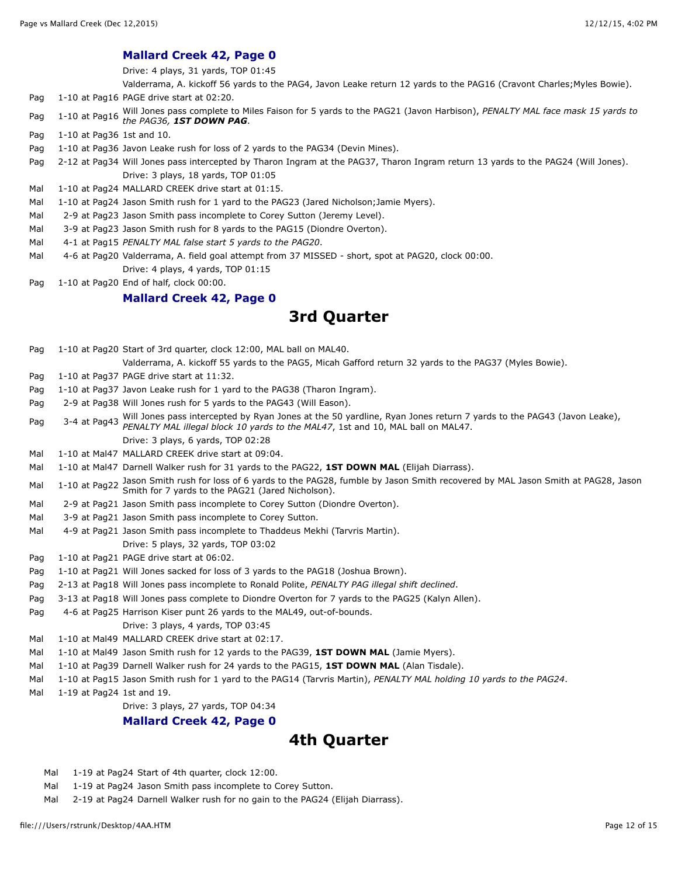#### **Mallard Creek 42, Page 0**

Drive: 4 plays, 31 yards, TOP 01:45

Valderrama, A. kickoff 56 yards to the PAG4, Javon Leake return 12 yards to the PAG16 (Cravont Charles;Myles Bowie).

- Pag 1-10 at Pag16 PAGE drive start at 02:20.
- Pag 1-10 at Pag16 Will Jones pass complete to Miles Faison for 5 yards to the PAG21 (Javon Harbison), *PENALTY MAL face mask 15 yards to*
- *the PAG36, 1ST DOWN PAG*.
- Pag 1-10 at Pag36 1st and 10.
- Pag 1-10 at Pag36 Javon Leake rush for loss of 2 yards to the PAG34 (Devin Mines).
- Pag 2-12 at Pag34 Will Jones pass intercepted by Tharon Ingram at the PAG37, Tharon Ingram return 13 yards to the PAG24 (Will Jones). Drive: 3 plays, 18 yards, TOP 01:05
- Mal 1-10 at Pag24 MALLARD CREEK drive start at 01:15.
- Mal 1-10 at Pag24 Jason Smith rush for 1 yard to the PAG23 (Jared Nicholson; Jamie Myers).
- Mal 2-9 at Pag23 Jason Smith pass incomplete to Corey Sutton (Jeremy Level).
- Mal 3-9 at Pag23 Jason Smith rush for 8 yards to the PAG15 (Diondre Overton).
- Mal 4-1 at Pag15 *PENALTY MAL false start 5 yards to the PAG20*.
- Mal 4-6 at Pag20 Valderrama, A. field goal attempt from 37 MISSED short, spot at PAG20, clock 00:00. Drive: 4 plays, 4 yards, TOP 01:15
- Pag 1-10 at Pag20 End of half, clock 00:00.

#### **Mallard Creek 42, Page 0**

## **3rd Quarter**

Pag 1-10 at Pag20 Start of 3rd quarter, clock 12:00, MAL ball on MAL40. Valderrama, A. kickoff 55 yards to the PAG5, Micah Gafford return 32 yards to the PAG37 (Myles Bowie). Pag 1-10 at Pag37 PAGE drive start at 11:32. Pag 1-10 at Pag37 Javon Leake rush for 1 yard to the PAG38 (Tharon Ingram). Pag 2-9 at Pag38 Will Jones rush for 5 yards to the PAG43 (Will Eason). Pag 3-4 at Pag43 Will Jones pass intercepted by Ryan Jones at the 50 yardline, Ryan Jones return 7 yards to the PAG43 (Javon Leake), *PENALTY MAL illegal block 10 yards to the MAL47*, 1st and 10, MAL ball on MAL47. Drive: 3 plays, 6 yards, TOP 02:28 Mal 1-10 at Mal47 MALLARD CREEK drive start at 09:04. Mal 1-10 at Mal47 Darnell Walker rush for 31 yards to the PAG22, **1ST DOWN MAL** (Elijah Diarrass). Mal 1-10 at Pag22 Jason Smith rush for loss of 6 yards to the PAG28, fumble by Jason Smith recovered by MAL Jason Smith at PAG28, Jason Smith for 7 yards to the PAG21 (Jared Nicholson). Mal 2-9 at Pag21 Jason Smith pass incomplete to Corey Sutton (Diondre Overton). Mal 3-9 at Pag21 Jason Smith pass incomplete to Corey Sutton. Mal 4-9 at Pag21 Jason Smith pass incomplete to Thaddeus Mekhi (Tarvris Martin). Drive: 5 plays, 32 yards, TOP 03:02 Pag 1-10 at Pag21 PAGE drive start at 06:02. Pag 1-10 at Pag21 Will Jones sacked for loss of 3 yards to the PAG18 (Joshua Brown). Pag 2-13 at Pag18 Will Jones pass incomplete to Ronald Polite, *PENALTY PAG illegal shift declined*. Pag 3-13 at Pag18 Will Jones pass complete to Diondre Overton for 7 yards to the PAG25 (Kalyn Allen). Pag 4-6 at Pag25 Harrison Kiser punt 26 yards to the MAL49, out-of-bounds. Drive: 3 plays, 4 yards, TOP 03:45 Mal 1-10 at Mal49 MALLARD CREEK drive start at 02:17. Mal 1-10 at Mal49 Jason Smith rush for 12 yards to the PAG39, **1ST DOWN MAL** (Jamie Myers). Mal 1-10 at Pag39 Darnell Walker rush for 24 yards to the PAG15, **1ST DOWN MAL** (Alan Tisdale). Mal 1-10 at Pag15 Jason Smith rush for 1 yard to the PAG14 (Tarvris Martin), *PENALTY MAL holding 10 yards to the PAG24*. Mal 1-19 at Pag24 1st and 19. Drive: 3 plays, 27 yards, TOP 04:34 **Mallard Creek 42, Page 0**

## **4th Quarter**

- Mal 1-19 at Pag24 Start of 4th quarter, clock 12:00.
- Mal 1-19 at Pag24 Jason Smith pass incomplete to Corey Sutton.
- Mal 2-19 at Pag24 Darnell Walker rush for no gain to the PAG24 (Elijah Diarrass).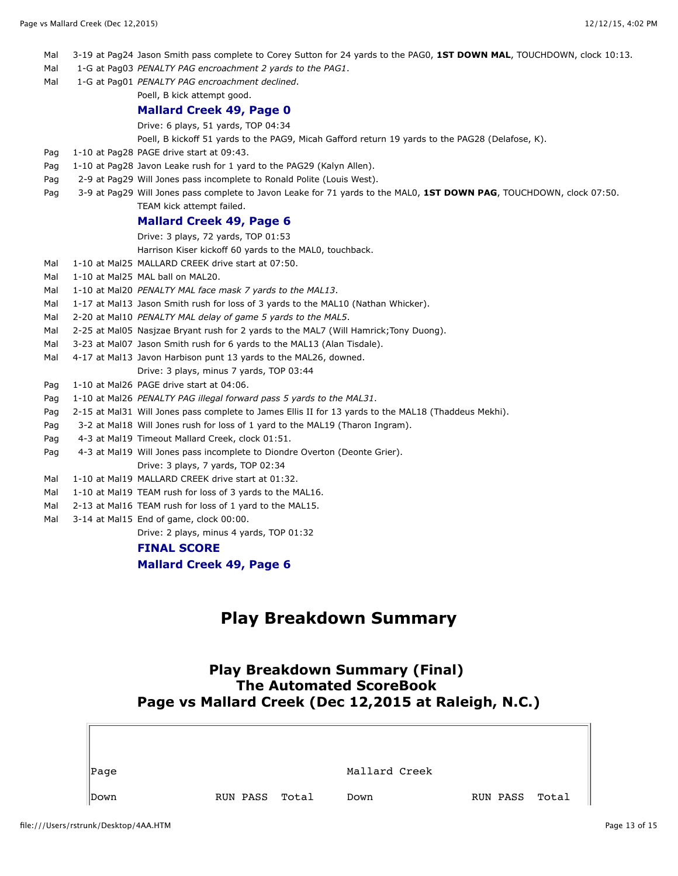- Mal 3-19 at Pag24 Jason Smith pass complete to Corey Sutton for 24 yards to the PAG0, **1ST DOWN MAL**, TOUCHDOWN, clock 10:13.
- Mal 1-G at Pag03 *PENALTY PAG encroachment 2 yards to the PAG1*.
- Mal 1-G at Pag01 *PENALTY PAG encroachment declined*.
	- Poell, B kick attempt good.

#### **Mallard Creek 49, Page 0**

Drive: 6 plays, 51 yards, TOP 04:34

Poell, B kickoff 51 yards to the PAG9, Micah Gafford return 19 yards to the PAG28 (Delafose, K).

- Pag 1-10 at Pag28 PAGE drive start at 09:43.
- Pag 1-10 at Pag28 Javon Leake rush for 1 yard to the PAG29 (Kalyn Allen).
- Pag 2-9 at Pag29 Will Jones pass incomplete to Ronald Polite (Louis West).
- Pag 3-9 at Pag29 Will Jones pass complete to Javon Leake for 71 yards to the MAL0, **1ST DOWN PAG**, TOUCHDOWN, clock 07:50. TEAM kick attempt failed.

#### **Mallard Creek 49, Page 6**

Drive: 3 plays, 72 yards, TOP 01:53

Harrison Kiser kickoff 60 yards to the MAL0, touchback.

- Mal 1-10 at Mal25 MALLARD CREEK drive start at 07:50.
- Mal 1-10 at Mal25 MAL ball on MAL20.
- Mal 1-10 at Mal20 *PENALTY MAL face mask 7 yards to the MAL13*.
- Mal 1-17 at Mal13 Jason Smith rush for loss of 3 yards to the MAL10 (Nathan Whicker).
- Mal 2-20 at Mal10 *PENALTY MAL delay of game 5 yards to the MAL5*.
- Mal 2-25 at Mal05 Nasjzae Bryant rush for 2 yards to the MAL7 (Will Hamrick; Tony Duong).
- Mal 3-23 at Mal07 Jason Smith rush for 6 yards to the MAL13 (Alan Tisdale).
- Mal 4-17 at Mal13 Javon Harbison punt 13 yards to the MAL26, downed.
	- Drive: 3 plays, minus 7 yards, TOP 03:44
- Pag 1-10 at Mal26 PAGE drive start at 04:06.
- Pag 1-10 at Mal26 *PENALTY PAG illegal forward pass 5 yards to the MAL31*.
- Pag 2-15 at Mal31 Will Jones pass complete to James Ellis II for 13 yards to the MAL18 (Thaddeus Mekhi).
- Pag 3-2 at Mal18 Will Jones rush for loss of 1 yard to the MAL19 (Tharon Ingram).
- Pag 4-3 at Mal19 Timeout Mallard Creek, clock 01:51.
- Pag 4-3 at Mal19 Will Jones pass incomplete to Diondre Overton (Deonte Grier). Drive: 3 plays, 7 yards, TOP 02:34
- Mal 1-10 at Mal19 MALLARD CREEK drive start at 01:32.
- Mal 1-10 at Mal19 TEAM rush for loss of 3 yards to the MAL16.
- Mal 2-13 at Mal16 TEAM rush for loss of 1 yard to the MAL15.
- Mal 3-14 at Mal15 End of game, clock 00:00.

Drive: 2 plays, minus 4 yards, TOP 01:32

#### **FINAL SCORE**

**Mallard Creek 49, Page 6**

# **Play Breakdown Summary**

### **Play Breakdown Summary (Final) The Automated ScoreBook Page vs Mallard Creek (Dec 12,2015 at Raleigh, N.C.)**

| Page |          |       | Mallard Creek |                     |  |
|------|----------|-------|---------------|---------------------|--|
| Down | RUN PASS | Total | Down          | RUN PASS Total $\ $ |  |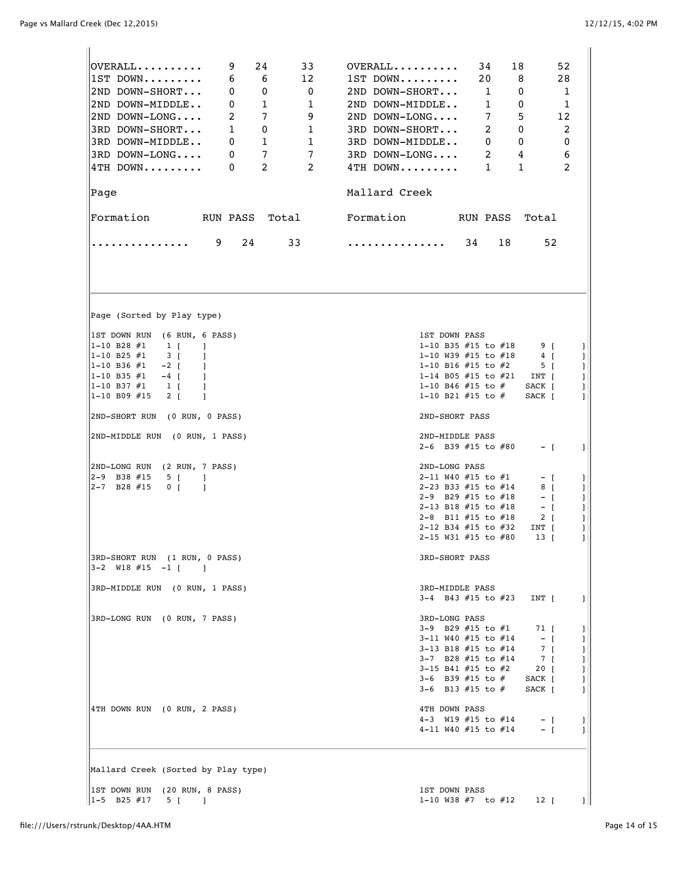Ī.

| 24<br>9<br>33<br>$\mathsf{OVERALL}\dots\dots\dots$<br>12<br>$1ST$ DOWN<br>6<br>6<br>2ND DOWN-SHORT<br>0<br>0<br>$\overline{\mathbf{0}}$<br>$\mathbf{0}$<br>$\mathbf{1}$<br>$\overline{1}$<br>2ND DOWN-MIDDLE<br>2<br>7<br>- 9<br>2ND DOWN-LONG<br>3RD DOWN-SHORT<br>$\mathbf{1}$<br>$\mathbf 0$<br>$\mathbf{1}$<br>3RD DOWN-MIDDLE<br>$\mathbf{1}$<br>0<br>$\mathbf{1}$<br>$7\overline{ }$<br>$\overline{7}$<br>3RD DOWN-LONG<br>0<br>2<br>4TH DOWN<br>2<br>0<br> Page<br>Formation RUN PASS Total Formation | 34<br>18<br>52<br>$OVERALL$<br>$1ST$ DOWN<br>20<br>8<br>28<br>2ND DOWN-SHORT<br>1<br>0<br>1<br>$\mathbf{1}$<br>1<br>2ND DOWN-MIDDLE<br>0<br>7<br>$2ND$ DOWN-LONG<br>5<br>12<br>2<br>2<br>3RD DOWN-SHORT<br>0<br>0<br>3RD DOWN-MIDDLE<br>$\mathbf{0}$<br>0<br>3RD DOWN-LONG<br>2<br>4<br>6<br>2<br>4TH DOWN<br>$\mathbf{1}$<br>$\mathbf{1}$<br>Mallard Creek<br>RUN PASS Total |
|--------------------------------------------------------------------------------------------------------------------------------------------------------------------------------------------------------------------------------------------------------------------------------------------------------------------------------------------------------------------------------------------------------------------------------------------------------------------------------------------------------------|-------------------------------------------------------------------------------------------------------------------------------------------------------------------------------------------------------------------------------------------------------------------------------------------------------------------------------------------------------------------------------|
| 9<br>24<br>33<br>.                                                                                                                                                                                                                                                                                                                                                                                                                                                                                           | 34<br>18<br>52<br>.                                                                                                                                                                                                                                                                                                                                                           |
|                                                                                                                                                                                                                                                                                                                                                                                                                                                                                                              |                                                                                                                                                                                                                                                                                                                                                                               |
| Page (Sorted by Play type)                                                                                                                                                                                                                                                                                                                                                                                                                                                                                   |                                                                                                                                                                                                                                                                                                                                                                               |
| IST DOWN RUN (6 RUN, 6 PASS)<br> 1-10 B28 #1<br>$1 \vert$<br>1<br>$ 1 - 10 B25 #1$<br>$3 \mid$<br>-1<br> 1-10 B36 #1<br>$-2 \mid$<br>-1<br> 1-10 B35 #1<br>$-4$ [<br>-1<br> 1-10 B37 #1<br>$1 \vert$<br>-1<br> 1-10 B09 #15<br>$2 \mid$<br>1<br>2ND-SHORT RUN (0 RUN, 0 PASS)                                                                                                                                                                                                                                | <b>1ST DOWN PASS</b><br>1-10 B35 $#15$ to $#18$<br>9 <sub>1</sub><br>J<br>1-10 W39 #15 to #18<br>4 <sub>[</sub><br>1<br>1-10 B16 #15 to #2<br>5 <sub>1</sub><br>J<br>1-14 B05 #15 to #21<br>INT [<br>1<br>1-10 B46 #15 to #<br>SACK [<br>J<br>1-10 B21 #15 to #<br>SACK [<br>1<br>2ND-SHORT PASS                                                                              |
| 2ND-MIDDLE RUN (0 RUN, 1 PASS)                                                                                                                                                                                                                                                                                                                                                                                                                                                                               | 2ND-MIDDLE PASS                                                                                                                                                                                                                                                                                                                                                               |
|                                                                                                                                                                                                                                                                                                                                                                                                                                                                                                              | 2-6 B39 #15 to #80<br>$-$ [<br>1                                                                                                                                                                                                                                                                                                                                              |
| 2ND-LONG RUN (2 RUN, 7 PASS)<br>$ 2-9$ B38 #15<br>5 [<br>-1<br>$ 2-7$ B28 #15<br>0 <sub>1</sub><br>$\mathbf{1}$                                                                                                                                                                                                                                                                                                                                                                                              | 2ND-LONG PASS<br>2-11 W40 $#15$ to $#1$<br>– I<br>1<br>2-23 B33 #15 to #14<br>8 [<br>J<br>2-9 B29 $#15$ to $#18$<br>1<br>– I<br>2-13 B18 #15 to #18<br>$ \Gamma$<br>1<br>2-8 B11 $#15$ to $#18$<br>$2 \mid$<br>1<br>2-12 B34 #15 to #32<br>INT [<br>J<br>2-15 W31 #15 to #80<br>13 T<br>1                                                                                     |
| 3RD-SHORT RUN (1 RUN, 0 PASS)<br>$3-2$ W18 #15 $-1$ [<br>$\blacksquare$                                                                                                                                                                                                                                                                                                                                                                                                                                      | 3RD-SHORT PASS                                                                                                                                                                                                                                                                                                                                                                |
| 3RD-MIDDLE RUN (0 RUN, 1 PASS)                                                                                                                                                                                                                                                                                                                                                                                                                                                                               | 3RD-MIDDLE PASS<br>3-4 B43 #15 to #23<br>INT [<br>1                                                                                                                                                                                                                                                                                                                           |
| 3RD-LONG RUN (0 RUN, 7 PASS)                                                                                                                                                                                                                                                                                                                                                                                                                                                                                 | 3RD-LONG PASS<br>3-9 B29 #15 to #1<br>71 [<br>J.<br>3-11 W40 #15 to #14<br>$-1$<br>1<br>3-13 B18 #15 to #14<br>7 [<br>I<br>$7 \quad [$<br>3-7 B28 #15 to #14<br>L<br>3-15 B41 #15 to #2<br>20 <sub>1</sub><br>1<br>3-6 B39 $#15$ to $#$<br>SACK [<br>J.<br>3-6 B13 #15 to #<br>SACK [<br>1                                                                                    |
| 4TH DOWN RUN (0 RUN, 2 PASS)                                                                                                                                                                                                                                                                                                                                                                                                                                                                                 | 4TH DOWN PASS<br>4-3 W19 $#15$ to $#14$<br>$-$ [<br>-1<br>4-11 W40 #15 to #14<br>$-$ [<br>1                                                                                                                                                                                                                                                                                   |
| Mallard Creek (Sorted by Play type)                                                                                                                                                                                                                                                                                                                                                                                                                                                                          |                                                                                                                                                                                                                                                                                                                                                                               |
| [1ST DOWN RUN (20 RUN, 8 PASS)<br>$1 - 5$ B25 #17<br>5 [<br>-1                                                                                                                                                                                                                                                                                                                                                                                                                                               | 1ST DOWN PASS<br>1-10 W38 $#7$ to $#12$<br>12 [<br>$\mathbf{1}$                                                                                                                                                                                                                                                                                                               |